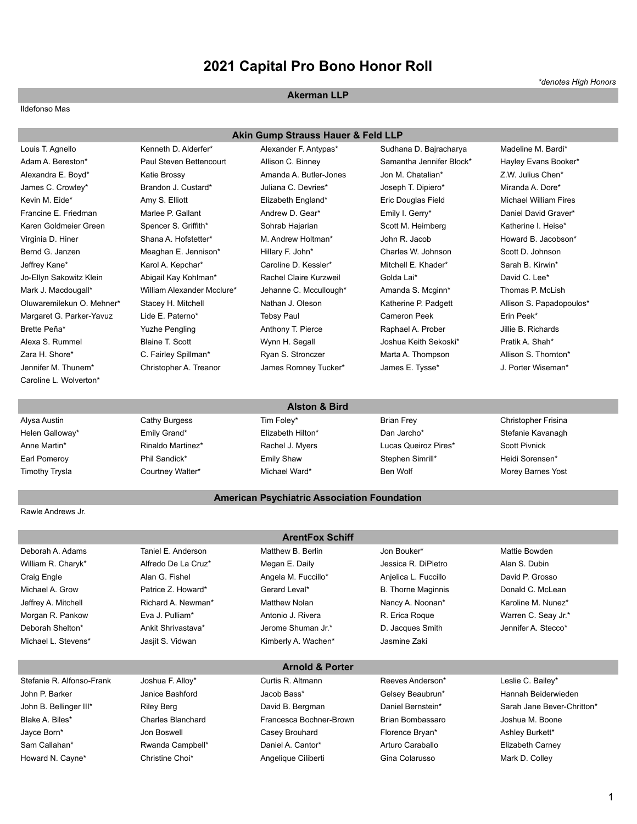## **2021 Capital Pro Bono Honor Roll**

#### **Akerman LLP**

#### Ildefonso Mas

| Akin Gump Strauss Hauer & Feld LLP |  |  |  |  |  |
|------------------------------------|--|--|--|--|--|
|------------------------------------|--|--|--|--|--|

| Louis T. Agnello          | Kenneth D. Alderfer*       | Alexander F. Antypas*  | Sudhana D. Bajracharya   | Madeline M. Bardi*       |
|---------------------------|----------------------------|------------------------|--------------------------|--------------------------|
| Adam A. Bereston*         | Paul Steven Bettencourt    | Allison C. Binney      | Samantha Jennifer Block* | Hayley Evans Booker*     |
| Alexandra E. Boyd*        | Katie Brossy               | Amanda A. Butler-Jones | Jon M. Chatalian*        | Z.W. Julius Chen*        |
| James C. Crowley*         | Brandon J. Custard*        | Juliana C. Devries*    | Joseph T. Dipiero*       | Miranda A. Dore*         |
| Kevin M. Eide*            | Amy S. Elliott             | Elizabeth England*     | Eric Douglas Field       | Michael William Fires    |
| Francine E. Friedman      | Marlee P. Gallant          | Andrew D. Gear*        | Emily I. Gerry*          | Daniel David Graver*     |
| Karen Goldmeier Green     | Spencer S. Griffith*       | Sohrab Hajarian        | Scott M. Heimberg        | Katherine I. Heise*      |
| Virginia D. Hiner         | Shana A. Hofstetter*       | M. Andrew Holtman*     | John R. Jacob            | Howard B. Jacobson*      |
| Bernd G. Janzen           | Meaghan E. Jennison*       | Hillary F. John*       | Charles W. Johnson       | Scott D. Johnson         |
| Jeffrey Kane*             | Karol A. Kepchar*          | Caroline D. Kessler*   | Mitchell E. Khader*      | Sarah B. Kirwin*         |
| Jo-Ellyn Sakowitz Klein   | Abigail Kay Kohlman*       | Rachel Claire Kurzweil | Golda Lai*               | David C. Lee*            |
| Mark J. Macdougall*       | William Alexander Mcclure* | Jehanne C. Mccullough* | Amanda S. Mcginn*        | Thomas P. McLish         |
| Oluwaremilekun O. Mehner* | Stacey H. Mitchell         | Nathan J. Oleson       | Katherine P. Padgett     | Allison S. Papadopoulos* |
| Margaret G. Parker-Yavuz  | Lide E. Paterno*           | <b>Tebsy Paul</b>      | Cameron Peek             | Erin Peek*               |
| Brette Peña*              | Yuzhe Pengling             | Anthony T. Pierce      | Raphael A. Prober        | Jillie B. Richards       |
| Alexa S. Rummel           | Blaine T. Scott            | Wynn H. Segall         | Joshua Keith Sekoski*    | Pratik A. Shah*          |
| Zara H. Shore*            | C. Fairley Spillman*       | Ryan S. Stronczer      | Marta A. Thompson        | Allison S. Thornton*     |
| Jennifer M. Thunem*       | Christopher A. Treanor     | James Romney Tucker*   | James E. Tysse*          | J. Porter Wiseman*       |
| Caroline L. Wolverton*    |                            |                        |                          |                          |

# **Alston & Bird**

**American Psychiatric Association Foundation**

**ArentFox Schiff**

Alysa Austin Cathy Burgess Tim Foley\* Brian Frey Brian Frey Christopher Frisina Helen Galloway\* Emily Grand\* Elizabeth Hilton\* Dan Jarcho\* Stefanie Kavanagh Anne Martin\* Scott Pivnick Rinaldo Martinez\* Rachel J. Myers Lucas Queiroz Pires\* Scott Pivnick Earl Pomeroy **Phil Sandick\*** Emily Shaw Stephen Simrill\* Heidi Sorensen\*

Timothy Trysla **Courtney Walter\*** Michael Ward\* Ben Wolf **Morey Barnes Yost** Morey Barnes Yost

#### Rawle Andrews Jr.

Deborah A. Adams Taniel E. Anderson Matthew B. Berlin Jon Bouker\* Mattie Bowden William R. Charyk\* **Alfredo De La Cruz\*** Megan E. Daily **Jessica R. DiPietro** Alan S. Dubin Craig Engle **Alan G. Fishel Angela M. Fuccillo\*** Anjelica L. Fuccillo **Angela David P. Grosso** Michael A. Grow **Patrice Z. Howard\*** Gerard Leval\* B. Thorne Maginnis Donald C. McLean Jeffrey A. Mitchell **Richard A. Newman\*** Matthew Nolan Nancy A. Noonan\* Karoline M. Nunez\* Morgan R. Pankow **Eva J. Pulliam\*** Antonio J. Rivera **R. Erica Roque** Warren C. Seay Jr.\* Deborah Shelton\* **Ankit Shrivastava\*** Jerome Shuman Jr.\* D. Jacques Smith Jennifer A. Stecco\* Michael L. Stevens\* **Jasjit S. Vidwan** Kimberly A. Wachen\* Jasmine Zaki

#### **Arnold & Porter**

Stefanie R. Alfonso-Frank Joshua F. Alloy\* Curtis R. Altmann Reeves Anderson\* Leslie C. Bailey\* John P. Barker Janice Bashford Jacob Bass\* Gelsey Beaubrun\* Hannah Beiderwieden Blake A. Biles\* Charles Blanchard Francesca Bochner-Brown Brian Bombassaro Joshua M. Boone Jayce Born\* Jon Boswell Casey Brouhard Florence Bryan\* Ashley Burkett\* Sam Callahan\* **Rwanda Campbell\*** Daniel A. Cantor\* **Arturo Caraballo** Elizabeth Carney **Arturo Caraballo** Elizabeth Carney Howard N. Cayne<sup>\*</sup> Christine Choi<sup>\*</sup> Angelique Ciliberti Gina Colarusso Carresso Mark D. Colley

John B. Bellinger III\* Riley Berg David B. Bergman Daniel Bernstein\* Sarah Jane Bever-Chritton\*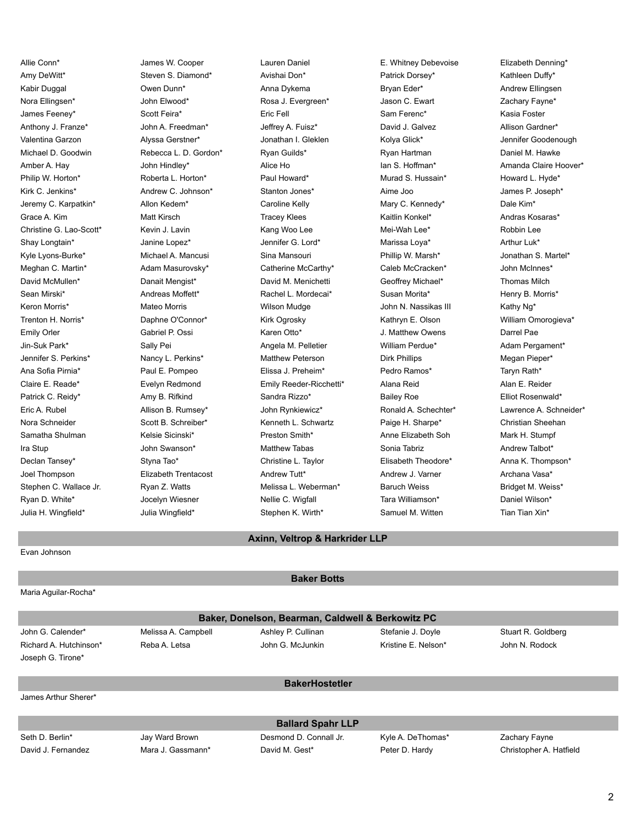Allie Conn\* James W. Cooper Lauren Daniel E. Whitney Debevoise Elizabeth Denning\* Amy DeWitt\* Steven S. Diamond\* Avishai Don\* Patrick Dorsey\* Kathleen Duffy\* Kabir Duggal Owen Dunn\* Anna Dykema Bryan Eder\* Andrew Ellingsen Nora Ellingsen\* The Sachary Fayne\* John Elwood\* Rosa J. Evergreen\* Jason C. Ewart Zachary Fayne\* James Feeney\* **Scott Feira\*** Scott Feira<sup>\*</sup> Eric Fell Sam Sam Ferenc\* Kasia Foster Anthony J. Franze\* **M. The John A. Freedman\*** Jeffrey A. Fuisz\* David J. Galvez **Allison Gardner\*** Valentina Garzon **Alyssa Gerstner\*** Jonathan I. Gleklen Kolya Glick\* Jennifer Goodenough Michael D. Goodwin **Rebecca L. D. Gordon\*** Ryan Guilds\* Ryan Hartman Ryan Hartman Daniel M. Hawke Philip W. Horton\* **Roberta L. Horton\*** Paul Howard\* Murad S. Hussain\* Howard L. Hyde\* Kirk C. Jenkins\* **Andrew C. Johnson\*** Stanton Jones\* Aime Joo **Aime Joo James P. Joseph\*** Jeremy C. Karpatkin\* **Allon Kedem\*** Caroline Kelly Mary C. Kennedy\* Dale Kim\* Dale Kim\* Grace A. Kim **Matt Kirsch** Matt Kirsch Tracey Klees Kaitlin Konkel\* Andras Kosaras\* Christine G. Lao-Scott\* Kevin J. Lavin Kang Woo Lee Mei-Wah Lee\* Robbin Lee Robbin Lee Shay Longtain\* The South Maria Lopez\* Jennifer G. Lord\* Jennifer G. Lord Marissa Loya\* The Arthur Luk\* Kyle Lyons-Burke\* Michael A. Mancusi Sina Mansouri Phillip W. Marsh\* Jonathan S. Martel\* Meghan C. Martin\* **Makum Adam Masurovsky\*** Catherine McCarthy\* Caleb McCracken\* John McInnes\* David McMullen\* Danait Mengist\* David M. Menichetti Geoffrey Michael\* Thomas Milch Sean Mirski\* Theory B. Morrist Andreas Moffett\* Theory B. Morrist Rachel L. Mordecai\* Susan Morita\* Thenry B. Morris\* Keron Morris\* **Mateo Morris** Morris Wilson Mudge John N. Nassikas III Kathy Ng\* Trenton H. Norris\* **Trenton H. Norrist E. Daphne O'Connor\*** Kirk Ogrosky Kathryn E. Olson William Omorogieva\* Emily Orler **Emily Orleans Capace Capace I**C Gabriel P. Ossi Caren Otto<sup>\*</sup> **Capace Capace Capace Capace Capace Capace Capace Capace Capace Capace Capace Capace Capace Capace Capace Capace Capace Darrel Pae** Jin-Suk Park\* Sally Pei Angela M. Pelletier William Perdue\* Adam Pergament\* Jennifer S. Perkins\* Nancy L. Perkins\* Matthew Peterson Dirk Phillips Megan Pieper\* Ana Sofia Pirnia\* Paul E. Pompeo Elissa J. Preheim\* Pedro Ramos\* Taryn Rath\* Claire E. Reade\* **Evelyn Redmond** Emily Reeder-Ricchetti\* Alana Reid Alan E. Reider Patrick C. Reidy\* **Amy B. Rifkind** Sandra Rizzo\* Bailey Roe Elliot Rosenwald\* Nora Schneider **Scott B. Schreiber\*** Kenneth L. Schwartz Paige H. Sharpe<sup>\*</sup> Christian Sheehan Samatha Shulman **Kelsie Sicinski\*** Preston Smith\* Anne Elizabeth Soh Mark H. Stumpf Ira Stup Sonia Tabriz John Swanson\* Natthew Tabas Sonia Tabriz Andrew Talbot\* Andrew Talbot\* Declan Tansey\* Styna Tao\* Christine L. Taylor Elisabeth Theodore\* Anna K. Thompson\* Joel Thompson **Elizabeth Trentacost** Andrew Tutt\* Andrew J. Varner Archana Vasa\* Stephen C. Wallace Jr. **Ryan Z. Watts Melissa L. Weberman\*** Baruch Weiss Bridget M. Weiss\* Ryan D. White\* The Mulliamson Consults and Decelyn Wiesner Nellie C. Wigfall Nelliamson Tara Williamson\* Daniel Wilson\* Julia H. Wingfield\* Julia Wingfield\* Stephen K. Wirth\* Samuel M. Witten Tian Tian Xin\*

Amber A. Hay **Alice Acid Amanda Claire Hoover** Alice Ho **Alice Howarda Claire Hoover** Amanda Claire Hoover\* Amanda Claire Hoover Eric A. Rubel **Allison B. Rumsey\*** John Rynkiewicz\* Ronald A. Schechter\* Lawrence A. Schneider\*

**Axinn, Veltrop & Harkrider LLP**

Evan Johnson

Maria Aguilar-Rocha\*

#### **Baker Botts**

| Baker, Donelson, Bearman, Caldwell & Berkowitz PC |                     |                        |                     |                         |  |
|---------------------------------------------------|---------------------|------------------------|---------------------|-------------------------|--|
| John G. Calender*                                 | Melissa A. Campbell | Ashley P. Cullinan     | Stefanie J. Doyle   | Stuart R. Goldberg      |  |
| Richard A. Hutchinson*                            | Reba A. Letsa       | John G. McJunkin       | Kristine E. Nelson* | John N. Rodock          |  |
| Joseph G. Tirone*                                 |                     |                        |                     |                         |  |
|                                                   |                     |                        |                     |                         |  |
|                                                   |                     | <b>BakerHostetler</b>  |                     |                         |  |
| James Arthur Sherer*                              |                     |                        |                     |                         |  |
|                                                   |                     |                        |                     |                         |  |
| <b>Ballard Spahr LLP</b>                          |                     |                        |                     |                         |  |
| Seth D. Berlin*                                   | Jay Ward Brown      | Desmond D. Connall Jr. | Kyle A. DeThomas*   | Zachary Fayne           |  |
| David J. Fernandez                                | Mara J. Gassmann*   | David M. Gest*         | Peter D. Hardy      | Christopher A. Hatfield |  |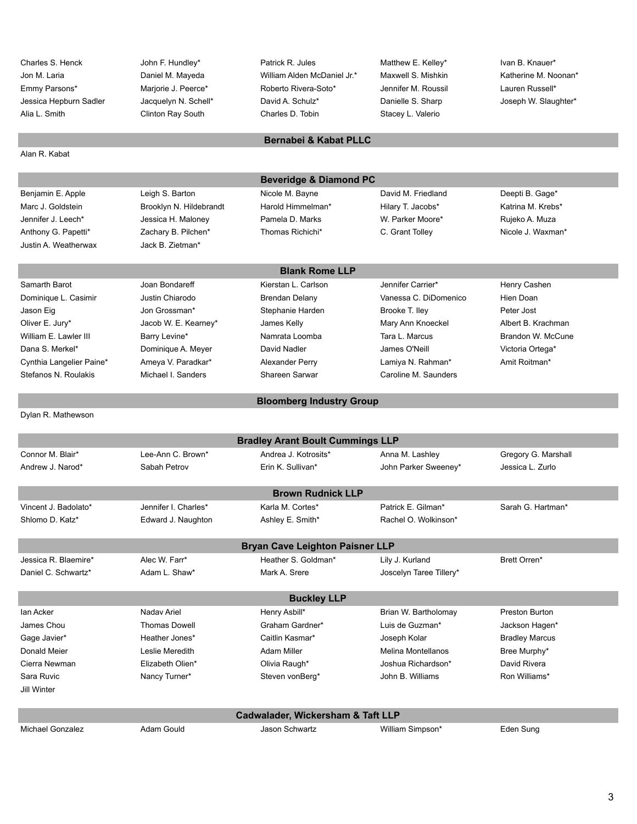Charles S. Henck **S. Henck** John F. Hundley\* Patrick R. Jules Matthew E. Kelley\* Ivan B. Knauer\* Jon M. Laria **Daniel M. Mayeda** William Alden McDaniel Jr.\* Maxwell S. Mishkin Katherine M. Noonan\* Emmy Parsons\* Marjorie J. Peerce\* Roberto Rivera-Soto\* Jennifer M. Roussil Lauren Russell\* Jessica Hepburn Sadler **Jacquelyn N. Schell\*** David A. Schulz\* Danielle S. Sharp Joseph W. Slaughter\* Alia L. Smith Clinton Ray South Charles D. Tobin Stacey L. Valerio

Alan R. Kabat

#### **Bernabei & Kabat PLLC**

**Beveridge & Diamond PC** Benjamin E. Apple Leigh S. Barton Nicole M. Bayne David M. Friedland Deepti B. Gage\* Marc J. Goldstein **Brooklyn N. Hildebrandt** Harold Himmelman\* Hilary T. Jacobs\* Katrina M. Krebs\* Jennifer J. Leech\* Guite A. Muza H. Maloney C. Pamela D. Marks M. Parker Moore\* Rujeko A. Muza Anthony G. Papetti\* **Zachary B. Pilchen\*** Thomas Richichi\* C. Grant Tolley Nicole J. Waxman\* Justin A. Weatherwax **Jack B. Zietman**\*

**Blank Rome LLP** Stefanos N. Roulakis Michael I. Sanders Shareen Sarwar Caroline M. Saunders

#### Samarth Barot **Martier Carlo Accord Joan Bondareff** Martia Kierstan L. Carlson **Martian Jennifer Carrier\*** Henry Cashen Dominique L. Casimir Justin Chiarodo Brendan Delany Vanessa C. DiDomenico Hien Doan Jason Eig Jon Grossman\* Stephanie Harden Brooke T. Iley Peter Jost Oliver E. Jury\* **Mary Albert B. Krachman** Jacob W. E. Kearney\* James Kelly **Mary Ann Knoeckel** Albert B. Krachman William E. Lawler III **Barry Levine\*** Namrata Loomba Tara L. Marcus Brandon W. McCune Dana S. Merkel\* **Dominique A. Meyer** David Nadler **Communist Communist Communist Communist Communist Communist Communist Communist Communist Communist Communist Communist Communist Communist Communist Communist Communist C** Cynthia Langelier Paine\* Ameya V. Paradkar\* Alexander Perry Lamiya N. Rahman\* Amit Roitman\* Amit Roitman\*

Dylan R. Mathewson

| <b>Bradley Arant Boult Cummings LLP</b> |                                        |                                   |                           |                       |  |
|-----------------------------------------|----------------------------------------|-----------------------------------|---------------------------|-----------------------|--|
| Connor M. Blair*                        | Lee-Ann C. Brown*                      | Andrea J. Kotrosits*              | Anna M. Lashley           | Gregory G. Marshall   |  |
| Andrew J. Narod*                        | Sabah Petrov                           | Erin K. Sullivan*                 | John Parker Sweeney*      | Jessica L. Zurlo      |  |
| <b>Brown Rudnick LLP</b>                |                                        |                                   |                           |                       |  |
| Vincent J. Badolato*                    | Jennifer I. Charles*                   | Karla M. Cortes*                  | Patrick E. Gilman*        | Sarah G. Hartman*     |  |
| Shlomo D. Katz*                         | Edward J. Naughton                     | Ashley E. Smith*                  | Rachel O. Wolkinson*      |                       |  |
|                                         |                                        |                                   |                           |                       |  |
|                                         | <b>Bryan Cave Leighton Paisner LLP</b> |                                   |                           |                       |  |
| Jessica R. Blaemire*                    | Alec W. Farr*                          | Heather S. Goldman*               | Lily J. Kurland           | Brett Orren*          |  |
| Daniel C. Schwartz*                     | Adam L. Shaw*                          | Mark A. Srere                     | Joscelyn Taree Tillery*   |                       |  |
|                                         |                                        |                                   |                           |                       |  |
| <b>Buckley LLP</b>                      |                                        |                                   |                           |                       |  |
|                                         |                                        |                                   |                           |                       |  |
| lan Acker                               | Naday Ariel                            | Henry Asbill*                     | Brian W. Bartholomay      | <b>Preston Burton</b> |  |
| James Chou                              | <b>Thomas Dowell</b>                   | Graham Gardner*                   | Luis de Guzman*           | Jackson Hagen*        |  |
| Gage Javier*                            | Heather Jones*                         | Caitlin Kasmar*                   | Joseph Kolar              | <b>Bradley Marcus</b> |  |
| Donald Meier                            | Leslie Meredith                        | <b>Adam Miller</b>                | <b>Melina Montellanos</b> | Bree Murphy*          |  |
| Cierra Newman                           | Elizabeth Olien*                       | Olivia Raugh*                     | Joshua Richardson*        | David Rivera          |  |
| Sara Ruvic                              | Nancy Turner*                          | Steven vonBerg*                   | John B. Williams          | Ron Williams*         |  |
| Jill Winter                             |                                        |                                   |                           |                       |  |
|                                         |                                        |                                   |                           |                       |  |
|                                         |                                        | Cadwalader, Wickersham & Taft LLP |                           |                       |  |

**Bloomberg Industry Group**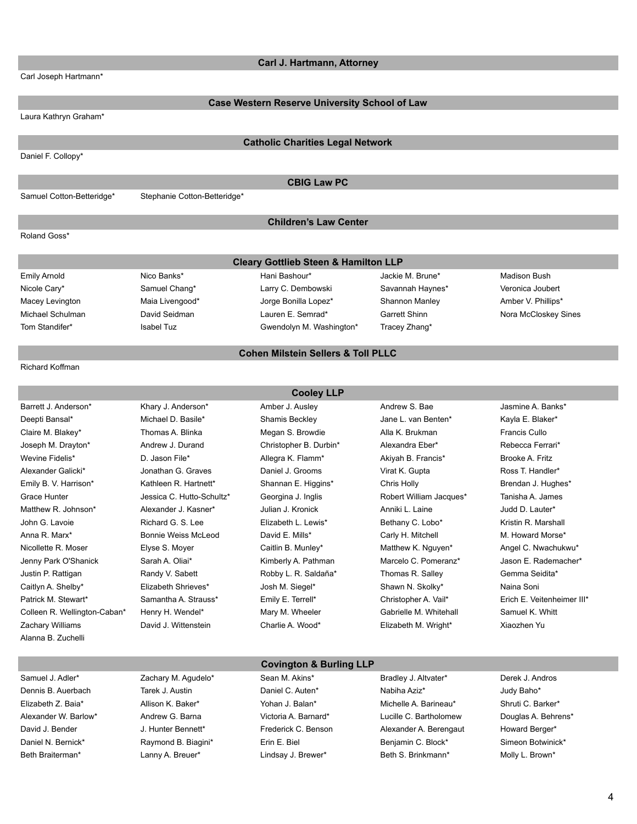Carl Joseph Hartmann\*

#### **Carl J. Hartmann, Attorney**

Laura Kathryn Graham\*

# **Case Western Reserve University School of Law**

Daniel F. Collopy\*

#### **Catholic Charities Legal Network**

Samuel Cotton-Betteridge\* Stephanie Cotton-Betteridge\*

**CBIG Law PC**

#### Roland Goss\*

# **Children's Law Center**

Emily Arnold **Nico Banks\*** Nico Hani Bashour\* Hani Bashour\* Jackie M. Brune\* Madison Bush Nicole Cary\* Samuel Chang\* Larry C. Dembowski Savannah Haynes\* Veronica Joubert Macey Levington **Maia Livengood\*** Jorge Bonilla Lopez\* Shannon Manley Amber V. Phillips\* Michael Schulman David Seidman Lauren E. Semrad\* Garrett Shinn Nora McCloskey Sines Tom Standifer\* **Isabel Tuz** Gwendolyn M. Washington\* Tracey Zhang\*

**Cleary Gottlieb Steen & Hamilton LLP**

#### Richard Koffman

Barrett J. Anderson\* Khary J. Anderson\* Amber J. Ausley Andrew S. Bae Jasmine A. Banks\* Deepti Bansal\* Nichael D. Basile\* Shamis Beckley Jane L. van Benten\* Kayla E. Blaker\* Claire M. Blakey\* Thomas A. Blinka Megan S. Browdie Alla K. Brukman Francis Cullo Joseph M. Drayton\* Andrew J. Durand Christopher B. Durbin\* Alexandra Eber\* Rebecca Ferrari\* Wevine Fidelis\* The Collegia C. Films Allegra K. Flamm\* Akiyah B. Francis\* Brooke A. Fritz Alexander Galicki\* **Subset Constitute Constitute Constitute Alexander** School and Hertan Constitute Ross T. Handler\* Emily B. V. Harrison\* Kathleen R. Hartnett\* Shannan E. Higgins\* Chris Holly Brendan J. Hughes\* Grace Hunter **Frankling Community Constructs** Georgina J. Inglis **Frankling Robert William Jacques\*** Tanisha A. James Matthew R. Johnson\* **Alexander J. Kasner\*** Julian J. Kronick **Anniki L. Laine** Anniki L. Laine Judd D. Lauter\* John G. Lavoie **Richard G. S. Lee** Elizabeth L. Lewis<sup>\*</sup> Bethany C. Lobo<sup>\*</sup> Kristin R. Marshall C. Lotter Bethany C. Lobo<sup>\*</sup> Anna R. Marx\* **Bonnie Weiss McLeod** David E. Mills\* Carly H. Mitchell M. Howard Morse\* Nicollette R. Moser **Elyse S. Moyer** Caitlin B. Munley\* Matthew K. Nguyen\* Angel C. Nwachukwu\* Jenny Park O'Shanick Sarah A. Oliai\* Kimberly A. Pathman Marcelo C. Pomeranz\* Jason E. Rademacher\* Justin P. Rattigan **Randy V. Sabett** Robby L. R. Saldaña\* Thomas R. Salley Gemma Seidita\* Gemma Seidita\* Caitlyn A. Shelby\* **Elizabeth Shrieves\*** Josh M. Siegel\* Shawn N. Skolky\* Naina Soni Patrick M. Stewart\* Samantha A. Strauss\* Emily E. Terrell\* Christopher A. Vail\* Erich E. Veitenheimer III\* Colleen R. Wellington-Caban\* Henry H. Wendel\* Mary M. Wheeler Gabrielle M. Whitehall Samuel K. Whitt Zachary Williams David J. Wittenstein Charlie A. Wood\* Elizabeth M. Wright\* Xiaozhen Yu Alanna B. Zuchelli

#### **Cooley LLP**

**Cohen Milstein Sellers & Toll PLLC**

Samuel J. Adler\* Zachary M. Agudelo\* Sean M. Akins\* Bradley J. Altvater\* Derek J. Andros

**Covington & Burling LLP**

Dennis B. Auerbach Carek J. Austin Carectic Communisty Communisty Communisty Communisty Communisty Communisty C Elizabeth Z. Baia\* Allison K. Baker\* Yohan J. Balan\* Michelle A. Barineau\* Shruti C. Barker\* Alexander W. Barlow\* **Andrew G. Barna Charlow Communisty Communisty** Communisty Communisty Communisty Communisty David J. Bender **State Community** J. Hunter Bennett\* Frederick C. Benson Alexander A. Berengaut Howard Berger\* Daniel N. Bernick\* **Raymond B. Biagini\*** Erin E. Biel Benjamin C. Block\* Simeon Botwinick\* Beth Braiterman\* **Lanny A. Breuer\*** Lindsay J. Brewer\* Beth S. Brinkmann\* Molly L. Brown\*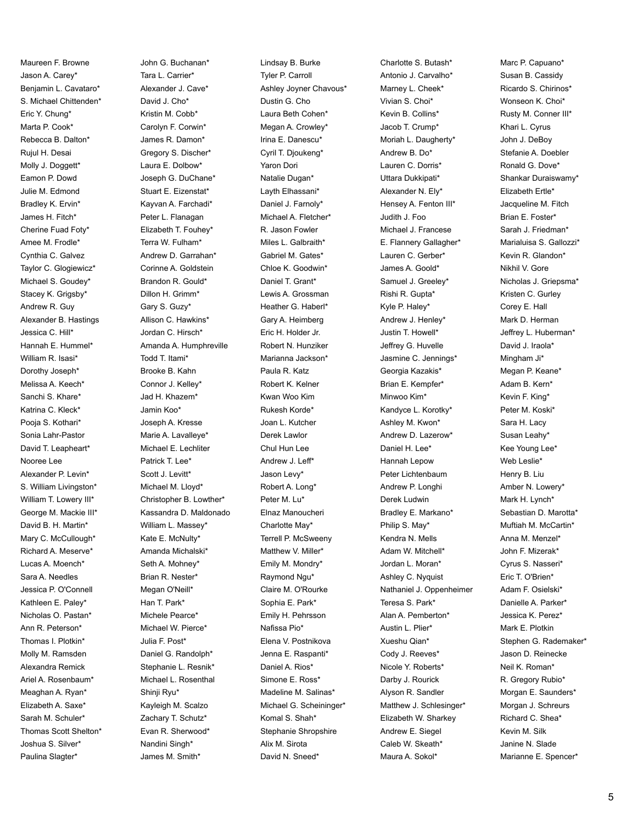Maureen F. Browne **Marc P. Capuanot** John G. Buchanan\* Lindsay B. Burke Charlotte S. Butash\* Marc P. Capuano\*

Jason A. Carey\* Tara L. Carrier\* Tyler P. Carroll Antonio J. Carvalho\* Susan B. Cassidy Benjamin L. Cavataro\* **Alexander J. Cave\*** Ashley Joyner Chavous\* Marney L. Cheek\* Ricardo S. Chirinos\* S. Michael Chittenden\* **David J. Cho\*** Dustin G. Cho Vivian S. Choi\* Wonseon K. Choi\* Eric Y. Chung\* **Kristin M. Cobb\*** Laura Beth Cohen\* Kevin B. Collins\* Rusty M. Conner III\* Marta P. Cook\* Carolyn F. Corwin\* Megan A. Crowley\* Jacob T. Crump\* Khari L. Cyrus Rebecca B. Dalton\* James R. Damon\* Irina E. Danescu\* Moriah L. Daugherty\* John J. DeBoy Rujul H. Desai Gregory S. Discher\* Cyril T. Djoukeng\* Andrew B. Do\* Stefanie A. Doebler Molly J. Doggett\* Laura E. Dolbow\* Yaron Dori Lauren C. Dorris\* Ronald G. Dove\* Eamon P. Dowd Joseph G. DuChane\* Natalie Dugan\* Uttara Dukkipati\* Shankar Duraiswamy\* Julie M. Edmond Stuart E. Eizenstat\* Layth Elhassani\* Alexander N. Ely\* Elizabeth Ertle\* Bradley K. Ervin\* **Kayvan A. Farchadi\*** Daniel J. Farnoly\* Hensey A. Fenton III\* Jacqueline M. Fitch James H. Fitch\* **Peter L. Flanagan Michael A. Fletcher\*** Judith J. Foo Brian E. Foster\* Cherine Fuad Foty\* Elizabeth T. Fouhey\* R. Jason Fowler Michael J. Francese Sarah J. Friedman\* Amee M. Frodle\* Terra W. Fulham\* Miles L. Galbraith\* E. Flannery Gallagher\* Marialuisa S. Gallozzi\* Cynthia C. Galvez **Andrew D. Garrahan\*** Gabriel M. Gates\* Lauren C. Gerber\* Kevin R. Glandon\* Taylor C. Glogiewicz\* Corinne A. Goldstein Chloe K. Goodwin\* James A. Goold\* Nikhil V. Gore Michael S. Goudey\* **Brandon R. Gould\*** Daniel T. Grant\* Samuel J. Greeley\* Nicholas J. Griepsma\* Stacey K. Grigsby\* **Dillon H. Grimm\*** Lewis A. Grossman Rishi R. Gupta\* Kristen C. Gurley Andrew R. Guy Corey E. Hall Gary S. Guzy\* Heather G. Haberl\* Kyle P. Haley\* Corey E. Hall Alexander B. Hastings Allison C. Hawkins\* Gary A. Heimberg Andrew J. Henley\* Mark D. Herman Jessica C. Hill\* Jordan C. Hirsch\* Eric H. Holder Jr. Justin T. Howell\* Jeffrey L. Huberman\* Hannah E. Hummel\* **Amanda A. Humphreville** Robert N. Hunziker **G. Huvelle** David J. Iraola\* William R. Isasi\* Todd T. Itami\* Totamit Marianna Jackson\* Jasmine C. Jennings\* Mingham Ji\* Dorothy Joseph\* Brooke B. Kahn Paula R. Katz Georgia Kazakis\* Megan P. Keane\* Melissa A. Keech\* Connor J. Kelley\* Robert K. Kelner Brian E. Kempfer\* Adam B. Kern\* Adam B. Kern\* Sanchi S. Khare\* Jad H. Khazem\* Kwan Woo Kim Minwoo Kim\* Kevin F. King\* Katrina C. Kleck\* **Music Actual Actual Actual Actual Actual Actual Actual Actual Actual Actual Actual Actual Actu**<br>Rukesh Kordet Kandyce L. Korotky\* Peter M. Koski\* Pooja S. Kothari\* The Sara H. Lacy Joseph A. Kresse The Joan L. Kutcher The Ashley M. Kwon\* Sara H. Lacy Sonia Lahr-Pastor **Marie A. Lavalleye\*** Derek Lawlor **Marie A. Lawlor Andrew D. Lazerow\*** Susan Leahy David T. Leapheart\* Michael E. Lechliter Chul Hun Lee Daniel H. Lee\* Kee Young Lee\* Nooree Lee **Andrew J. Leet Andrew J. Leff\*** Andrew J. Leff\* **Andrew J. Leff\*** Hannah Lepow Web Leslie\* Alexander P. Levin\* Scott J. Levitt\* Jason Levy\* Peter Lichtenbaum Henry B. Liu S. William Livingston\* Michael M. Lloyd\* Robert A. Long\* Andrew P. Longhi Amber N. Lowery\* William T. Lowery III\* Christopher B. Lowther\* Peter M. Lu\* Derek Ludwin Perek Ludwin Mark H. Lynch\* George M. Mackie III\* Kassandra D. Maldonado Elnaz Manoucheri Bradley E. Markano\* Sebastian D. Marotta\* David B. H. Martin\* William L. Massey\* Charlotte May\* Philip S. May\* Muftiah M. McCartin\* Mary C. McCullough\* Kate E. McNulty\* Terrell P. McSweeny Kendra N. Mells Anna M. Menzel\* Richard A. Meserve\* **Amanda Michalski\*** Matthew V. Miller\* Adam W. Mitchell\* John F. Mizerak\* Lucas A. Moench\* Seth A. Mohney\* Emily M. Mondry\* Jordan L. Moran\* Cyrus S. Nasseri\* Sara A. Needles **Brian R. Nester\*** Raymond Ngu<sup>\*</sup> Ashley C. Nyquist Eric T. O'Brien\* Jessica P. O'Connell Megan O'Neill\* Claire M. O'Rourke Nathaniel J. Oppenheimer Adam F. Osielski\* Kathleen E. Paley\* **Han T. Park\*** Sophia E. Park\* Teresa S. Park\* Danielle A. Parker\* Nicholas O. Pastan\* **Michele Pearce\*** Emily H. Pehrsson Alan A. Pemberton\* Jessica K. Perez\* Ann R. Peterson\* Michael W. Pierce\* Nafissa Pio\* Austin L. Plier\* Mark E. Plotkin Thomas I. Plotkin\* Julia F. Post\* Elena V. Postnikova Xueshu Qian\* Stephen G. Rademaker\* Molly M. Ramsden **Daniel G. Randolph\*** Jenna E. Raspanti\* Cody J. Reeves\* Jason D. Reinecke Alexandra Remick **Stephanie L. Resnik\*** Daniel A. Rios\* Nicole Y. Roberts\* Neil K. Roman\* Ariel A. Rosenbaum\* Michael L. Rosenthal Simone E. Ross\* Darby J. Rourick R. Gregory Rubio\* Meaghan A. Ryan\* Shinji Ryu\* Nadeline M. Salinas\* Alyson R. Sandler Morgan E. Saunders\* Elizabeth A. Saxe\* Kayleigh M. Scalzo Michael G. Scheininger\* Matthew J. Schlesinger\* Morgan J. Schreurs Sarah M. Schuler\* **Zachary T. Schutz\*** Komal S. Shah\* Elizabeth W. Sharkey Richard C. Shea\* Thomas Scott Shelton\* Evan R. Sherwood\* Stephanie Shropshire Andrew E. Siegel Kevin M. Silk Joshua S. Silver\* Nandini Singh\* Alix M. Sirota Caleb W. Skeath\* Janine N. Slade Paulina Slagter\* **Faulio Accept Accept Accept Accept Accept** Maura A. Sokol\* Maura A. Sokol\* Marianne E. Spencer\*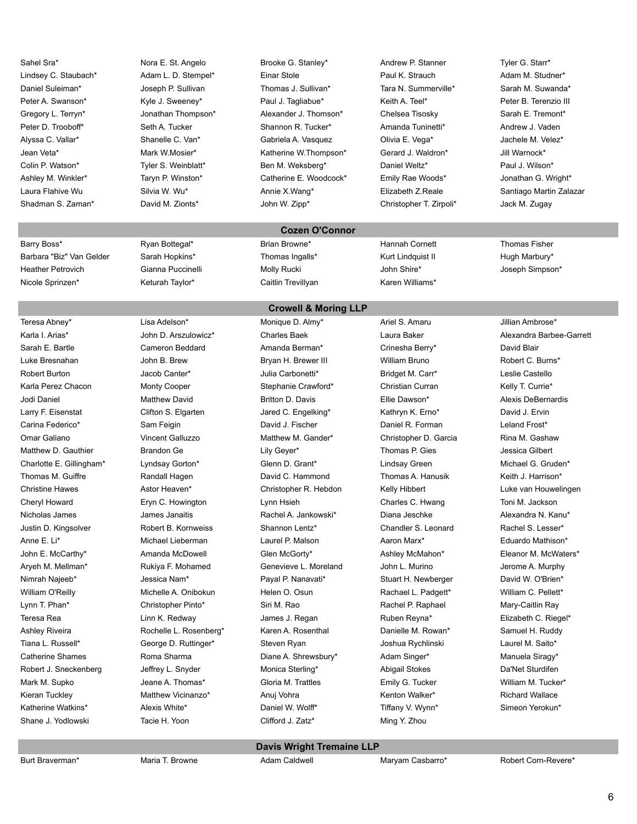Barry Boss\* Ryan Bottegal\* Brian Browne\* Hannah Cornett Thomas Fisher Barbara "Biz" Van Gelder Sarah Hopkins\* Thomas Ingalls\* Kurt Lindquist II Hugh Marbury\* Heather Petrovich Gianna Puccinelli Molly Rucki John Shire\* Joseph Simpson\* Nicole Sprinzen\* **Keturah Taylor\*** Caitlin Trevillyan Karen Williams\* Caitlin Trevillyan

#### Sarah E. Bartle **Cameron Beddard** Amanda Berman\* Crinesha Berry\* David Blair Crinesha Berry\* David Blair Luke Bresnahan John B. Brew Bryan H. Brewer III William Bruno Robert C. Burns\* Robert Burton **Figure 1 Accob Canter\*** Julia Carbonetti\* Bridget M. Carr\* Leslie Castello Karla Perez Chacon **Monty Cooper** Stephanie Crawford\* Christian Curran Kelly T. Currie\* Jodi Daniel Matthew David Britton D. Davis Ellie Dawson\* Alexis DeBernardis Larry F. Eisenstat **Clifton S. Elgarten** Jared C. Engelking\* Kathryn K. Erno\* David J. Ervin Carina Federico\* Sam Feigin Carina David J. Fischer Daniel R. Forman Leland Frost\* Omar Galiano **Vincent Galluzzo** Matthew M. Gander\* Christopher D. Garcia Rina M. Gashaw Matthew D. Gauthier **Brandon Ge** Lily Geyer\* Thomas P. Gies Jessica Gilbert **Communisty** Jessica Gilbert Charlotte E. Gillingham\* Lyndsay Gorton\* Glenn D. Grant\* Lindsay Green Michael G. Gruden\* Thomas M. Guiffre **Randall Hagen** David C. Hammond Thomas A. Hanusik Keith J. Harrison\* Christine Hawes **Astor Heaven\*** Christopher R. Hebdon Kelly Hibbert Christine Hawes Luke van Houwelingen Cheryl Howard Eryn C. Howington Lynn Hsieh Charles C. Hwang Toni M. Jackson Nicholas James **Music Alexandra N. Kames Janaitis Rachel A. Jankowski**<sup>\*</sup> Diana Jeschke Alexandra N. Kanu<sup>\*</sup> Justin D. Kingsolver **Robert B. Kornweiss** Shannon Lentz<sup>\*</sup> Chandler S. Leonard Rachel S. Lesser<sup>\*</sup> Anne E. Li\* The Michael Lieberman Claurel P. Malson Aaron Marx<sup>\*</sup> Aaron Marx<sup>\*</sup> Eduardo Mathison\* John E. McCarthy\* Amanda McDowell Glen McGorty\* Ashley McMahon\* Eleanor M. McWaters\* Aryeh M. Mellman\* Rukiya F. Mohamed Genevieve L. Moreland John L. Murino Jerome A. Murphy Nimrah Najeeb\* Jessica Nam\* Payal P. Nanavati\* Stuart H. Newberger David W. O'Brien\* William O'Reilly **Michelle A. Onibokun** Helen O. Osun Rachael L. Padgett\* William C. Pellett\* William C. Pellett\* Lynn T. Phan\* Christopher Pinto\* Siri M. Rao Rachel P. Raphael Mary-Caitlin Ray Teresa Rea **Linn K. Redway State Linn K. Redway** James J. Regan Ruben Reyna<sup>\*</sup> Elizabeth C. Riegel\* Ashley Riveira **Rochelle L. Rosenberg\*** Karen A. Rosenthal **N. Rowan\*** Samuel H. Ruddy Ruddy Tiana L. Russell\* Tiana Ceorge D. Ruttinger\* Steven Ryan Number Steven Ryan Joshua Rychlinski Number Laurel M. Saito\* Catherine Shames **Roma Sharma** Diane A. Shrewsbury\* Adam Singer\* Manuela Siragy\* Manuela Siragy\* Robert J. Sneckenberg **Jeffrey L. Snyder** Monica Sterling\* Abigail Stokes Da'Net Sturdifen Mark M. Supko Super A. Thomas\* Gloria M. Trattles Emily G. Tucker William M. Tucker\* Kieran Tuckley **Matthew Vicinanzo\*** Anuj Vohra Kenton Walker\* Richard Wallace Richard Wallace Katherine Watkins\* **Alexis White\*** Daniel W. Wolff\* Tiffany V. Wynn\* Simeon Yerokun\* Shane J. Yodlowski Tacie H. Yoon Clifford J. Zatz\* Ming Y. Zhou

Teresa Abney\* Lisa Adelson\* Monique D. Almy\* Ariel S. Amaru Jillian Ambrose\*

Sahel Sra\* Tyler G. Starr\* Nora E. St. Angelo Brooke G. Stanley\* Andrew P. Stanner Tyler G. Starr\* Lindsey C. Staubach\* Adam L. D. Stempel\* Einar Stole Paul K. Strauch Paul K. Strauch Adam M. Studner\* Daniel Suleiman\* Joseph P. Sullivan Thomas J. Sullivan\* Tara N. Summerville\* Sarah M. Suwanda\* Peter A. Swanson\* The Kyle J. Sweeney\* Paul J. Tagliabue\* Reith A. Teel\* Peter B. Terenzio III Gregory L. Terryn\* **Mathan Thompson\*** Alexander J. Thomson\* Chelsea Tisosky Sarah E. Tremont\* Peter D. Trooboff\* Seth A. Tucker Shannon R. Tucker\* Amanda Tuninetti\* Andrew J. Vaden Alyssa C. Vallar\* Shanelle C. Van\* Gabriela A. Vasquez Olivia E. Vega\* Jachele M. Velez\* Jean Veta\* Mark W.Mosier\* Katherine W.Thompson\* Gerard J. Waldron\* Jill Warnock\* Colin P. Watson\* Tyler S. Weinblatt\* Ben M. Weksberg\* Daniel Weltz\* Paul J. Wilson\* Paul A. Wilson\* Ashley M. Winkler\* Taryn P. Winston\* Catherine E. Woodcock\* Emily Rae Woods\* Jonathan G. Wright\* Laura Flahive Wu Silvia W. Wu\* Annie X.Wang\* Elizabeth Z.Reale Santiago Martin Zalazar Shadman S. Zaman\* David M. Zionts\* John W. Zipp\* Christopher T. Zirpoli\* Jack M. Zugay

#### **Crowell & Moring LLP**

**Cozen O'Connor**

Karla I. Arias\* John D. Arszulowicz\* Charles Baek Laura Baker Alexandra Barbee-Garrett

#### **Davis Wright Tremaine LLP**

Burt Braverman\* Maria T. Browne Adam Caldwell Maryam Casbarro\* Robert Corn-Revere\*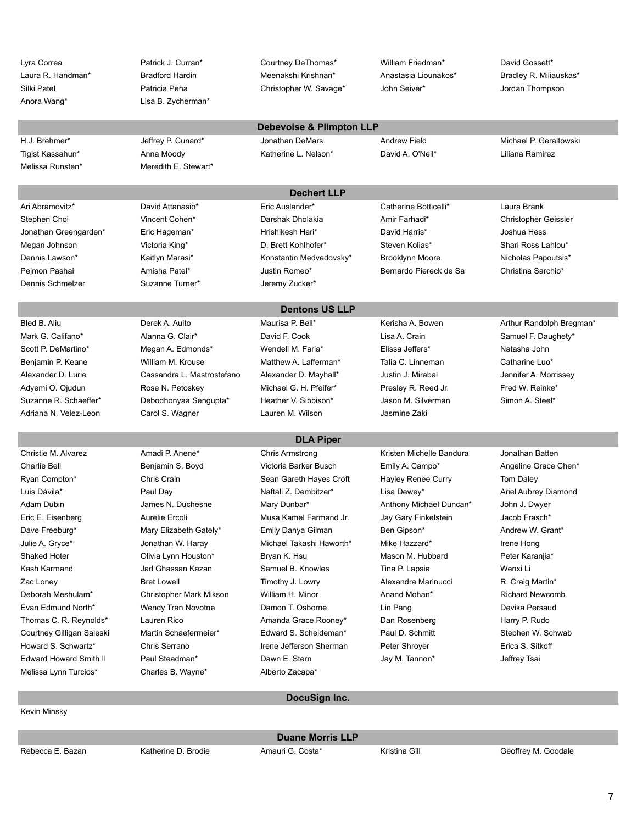| Lyra Correa<br>Laura R. Handman*<br>Silki Patel<br>Anora Wang* | Patrick J. Curran*<br><b>Bradford Hardin</b><br>Patricia Peña<br>Lisa B. Zycherman* | Courtney DeThomas*<br>Meenakshi Krishnan*<br>Christopher W. Savage* | William Friedman*<br>Anastasia Liounakos*<br>John Seiver* | David Gossett*<br>Bradley R. Miliauskas*<br>Jordan Thompson |  |  |
|----------------------------------------------------------------|-------------------------------------------------------------------------------------|---------------------------------------------------------------------|-----------------------------------------------------------|-------------------------------------------------------------|--|--|
| <b>Debevoise &amp; Plimpton LLP</b>                            |                                                                                     |                                                                     |                                                           |                                                             |  |  |
| H.J. Brehmer*                                                  | Jeffrey P. Cunard*                                                                  | Jonathan DeMars                                                     | <b>Andrew Field</b>                                       | Michael P. Geraltowski                                      |  |  |
| Tigist Kassahun*                                               | Anna Moody                                                                          | Katherine L. Nelson*                                                | David A. O'Neil*                                          | Liliana Ramirez                                             |  |  |
| Melissa Runsten*                                               | Meredith E. Stewart*                                                                |                                                                     |                                                           |                                                             |  |  |
|                                                                |                                                                                     | <b>Dechert LLP</b>                                                  |                                                           |                                                             |  |  |
| Ari Abramovitz*                                                | David Attanasio*                                                                    | Eric Auslander*                                                     | Catherine Botticelli*                                     | Laura Brank                                                 |  |  |
| Stephen Choi                                                   | Vincent Cohen*                                                                      | Darshak Dholakia                                                    | Amir Farhadi*                                             | <b>Christopher Geissler</b>                                 |  |  |
| Jonathan Greengarden*                                          | Eric Hageman*                                                                       | Hrishikesh Hari*                                                    | David Harris*                                             | Joshua Hess                                                 |  |  |
| Megan Johnson                                                  | Victoria King*                                                                      | D. Brett Kohlhofer*                                                 | Steven Kolias*                                            | Shari Ross Lahlou*                                          |  |  |
| Dennis Lawson*                                                 | Kaitlyn Marasi*                                                                     | Konstantin Medvedovsky*                                             | <b>Brooklynn Moore</b>                                    | Nicholas Papoutsis*                                         |  |  |
| Pejmon Pashai                                                  | Amisha Patel*                                                                       | Justin Romeo*                                                       | Bernardo Piereck de Sa                                    | Christina Sarchio*                                          |  |  |
| Dennis Schmelzer                                               | Suzanne Turner*                                                                     | Jeremy Zucker*                                                      |                                                           |                                                             |  |  |
|                                                                |                                                                                     | <b>Dentons US LLP</b>                                               |                                                           |                                                             |  |  |
| Bled B. Aliu                                                   | Derek A. Auito                                                                      | Maurisa P. Bell*                                                    | Kerisha A. Bowen                                          | Arthur Randolph Bregman*                                    |  |  |
| Mark G. Califano*                                              | Alanna G. Clair*                                                                    | David F. Cook                                                       | Lisa A. Crain                                             | Samuel F. Daughety*                                         |  |  |
| Scott P. DeMartino*                                            | Megan A. Edmonds*                                                                   | Wendell M. Faria*                                                   | Elissa Jeffers*                                           | Natasha John                                                |  |  |
| Benjamin P. Keane                                              | William M. Krouse                                                                   | Matthew A. Lafferman*                                               | Talia C. Linneman                                         | Catharine Luo*                                              |  |  |
| Alexander D. Lurie                                             | Cassandra L. Mastrostefano                                                          | Alexander D. Mayhall*                                               | Justin J. Mirabal                                         | Jennifer A. Morrissey                                       |  |  |
| Adyemi O. Ojudun                                               | Rose N. Petoskey                                                                    | Michael G. H. Pfeifer*                                              | Presley R. Reed Jr.                                       | Fred W. Reinke*                                             |  |  |
| Suzanne R. Schaeffer*                                          | Debodhonyaa Sengupta*                                                               | Heather V. Sibbison*                                                | Jason M. Silverman                                        | Simon A. Steel*                                             |  |  |
| Adriana N. Velez-Leon                                          | Carol S. Wagner                                                                     | Lauren M. Wilson                                                    | Jasmine Zaki                                              |                                                             |  |  |
|                                                                |                                                                                     | <b>DLA Piper</b>                                                    |                                                           |                                                             |  |  |
| Christie M. Alvarez                                            | Amadi P. Anene*                                                                     | <b>Chris Armstrong</b>                                              | Kristen Michelle Bandura                                  | Jonathan Batten                                             |  |  |
| <b>Charlie Bell</b>                                            | Benjamin S. Boyd                                                                    | Victoria Barker Busch                                               | Emily A. Campo*                                           | Angeline Grace Chen*                                        |  |  |
| Ryan Compton*                                                  | Chris Crain                                                                         | Sean Gareth Hayes Croft                                             | Hayley Renee Curry                                        | Tom Daley                                                   |  |  |
| Luis Dávila*                                                   | Paul Day                                                                            | Naftali Z. Dembitzer*                                               | Lisa Dewey*                                               | Ariel Aubrey Diamond                                        |  |  |
| Adam Dubin                                                     | James N. Duchesne                                                                   | Mary Dunbar*                                                        | Anthony Michael Duncan*                                   | John J. Dwyer                                               |  |  |
| Eric E. Eisenberg                                              | Aurelie Ercoli                                                                      | Musa Kamel Farmand Jr.                                              | Jay Gary Finkelstein                                      | Jacob Frasch*                                               |  |  |
| Dave Freeburg*                                                 | Mary Elizabeth Gately*                                                              | Emily Danya Gilman                                                  | Ben Gipson*                                               | Andrew W. Grant*                                            |  |  |
| Julie A. Gryce*                                                | Jonathan W. Haray                                                                   | Michael Takashi Haworth*                                            | Mike Hazzard*                                             | Irene Hong                                                  |  |  |
| Shaked Hoter                                                   | Olivia Lynn Houston*                                                                | Bryan K. Hsu                                                        | Mason M. Hubbard                                          | Peter Karanjia*                                             |  |  |
| Kash Karmand                                                   | Jad Ghassan Kazan                                                                   | Samuel B. Knowles                                                   | Tina P. Lapsia                                            | Wenxi Li                                                    |  |  |
| Zac Loney                                                      | <b>Bret Lowell</b>                                                                  | Timothy J. Lowry                                                    | Alexandra Marinucci                                       | R. Craig Martin*                                            |  |  |
| Deborah Meshulam*                                              | Christopher Mark Mikson                                                             | William H. Minor                                                    | Anand Mohan*                                              | <b>Richard Newcomb</b>                                      |  |  |
| Evan Edmund North*                                             | Wendy Tran Novotne                                                                  | Damon T. Osborne                                                    | Lin Pang                                                  | Devika Persaud                                              |  |  |
| Thomas C. R. Reynolds*                                         | Lauren Rico                                                                         | Amanda Grace Rooney*                                                | Dan Rosenberg                                             | Harry P. Rudo                                               |  |  |
| Courtney Gilligan Saleski                                      | Martin Schaefermeier*                                                               | Edward S. Scheideman*                                               | Paul D. Schmitt                                           | Stephen W. Schwab                                           |  |  |
| Howard S. Schwartz*                                            | Chris Serrano                                                                       | Irene Jefferson Sherman                                             | Peter Shroyer                                             | Erica S. Sitkoff                                            |  |  |
| <b>Edward Howard Smith II</b>                                  | Paul Steadman*                                                                      | Dawn E. Stern                                                       | Jay M. Tannon*                                            | Jeffrey Tsai                                                |  |  |
| Melissa Lynn Turcios*                                          | Charles B. Wayne*                                                                   | Alberto Zacapa*                                                     |                                                           |                                                             |  |  |
|                                                                | DocuSign Inc.                                                                       |                                                                     |                                                           |                                                             |  |  |

Kevin Minsky

Rebecca E. Bazan **Katherine D. Brodie** Amauri G. Costa<sup>\*</sup> Kristina Gill Geoffrey M. Goodale

**Duane Morris LLP**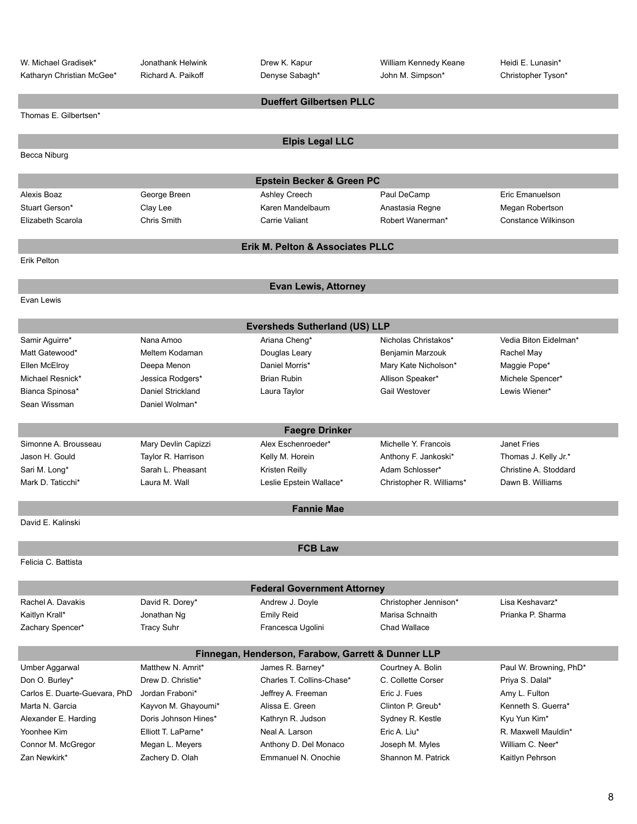| W. Michael Gradisek*<br>Katharyn Christian McGee* | Jonathank Helwink<br>Richard A. Paikoff | Drew K. Kapur<br>Denyse Sabagh*                    | William Kennedy Keane<br>John M. Simpson* | Heidi E. Lunasin*<br>Christopher Tyson* |
|---------------------------------------------------|-----------------------------------------|----------------------------------------------------|-------------------------------------------|-----------------------------------------|
|                                                   |                                         | <b>Dueffert Gilbertsen PLLC</b>                    |                                           |                                         |
| Thomas E. Gilbertsen*                             |                                         |                                                    |                                           |                                         |
|                                                   |                                         |                                                    |                                           |                                         |
| <b>Becca Niburg</b>                               |                                         | <b>Elpis Legal LLC</b>                             |                                           |                                         |
|                                                   |                                         |                                                    |                                           |                                         |
|                                                   |                                         | <b>Epstein Becker &amp; Green PC</b>               |                                           |                                         |
| Alexis Boaz                                       | George Breen                            | Ashley Creech                                      | Paul DeCamp                               | Eric Emanuelson                         |
| Stuart Gerson*                                    | Clay Lee                                | Karen Mandelbaum                                   | Anastasia Regne                           | Megan Robertson                         |
| Elizabeth Scarola                                 | Chris Smith                             | Carrie Valiant                                     | Robert Wanerman*                          | Constance Wilkinson                     |
|                                                   |                                         | Erik M. Pelton & Associates PLLC                   |                                           |                                         |
| <b>Erik Pelton</b>                                |                                         |                                                    |                                           |                                         |
|                                                   |                                         |                                                    |                                           |                                         |
| Evan Lewis                                        |                                         | <b>Evan Lewis, Attorney</b>                        |                                           |                                         |
|                                                   |                                         |                                                    |                                           |                                         |
|                                                   |                                         | <b>Eversheds Sutherland (US) LLP</b>               |                                           |                                         |
| Samir Aguirre*                                    | Nana Amoo                               | Ariana Cheng*                                      | Nicholas Christakos*                      | Vedia Biton Eidelman*                   |
| Matt Gatewood*                                    | Meltem Kodaman                          | Douglas Leary                                      | Benjamin Marzouk                          | Rachel May                              |
| Ellen McElroy                                     | Deepa Menon                             | Daniel Morris*                                     | Mary Kate Nicholson*                      | Maggie Pope*                            |
| Michael Resnick*                                  | Jessica Rodgers*                        | <b>Brian Rubin</b>                                 | Allison Speaker*                          | Michele Spencer*                        |
| Bianca Spinosa*                                   | Daniel Strickland                       | Laura Taylor                                       | Gail Westover                             | Lewis Wiener*                           |
| Sean Wissman                                      | Daniel Wolman*                          |                                                    |                                           |                                         |
|                                                   |                                         | <b>Faegre Drinker</b>                              |                                           |                                         |
| Simonne A. Brousseau                              | Mary Devlin Capizzi                     | Alex Eschenroeder*                                 | Michelle Y. Francois                      | Janet Fries                             |
| Jason H. Gould                                    | Taylor R. Harrison                      | Kelly M. Horein                                    | Anthony F. Jankoski*                      | Thomas J. Kelly Jr.*                    |
| Sari M. Long*                                     | Sarah L. Pheasant                       | Kristen Reilly                                     | Adam Schlosser*                           | Christine A. Stoddard                   |
| Mark D. Taticchi*                                 | Laura M. Wall                           | Leslie Epstein Wallace*                            | Christopher R. Williams*                  | Dawn B. Williams                        |
|                                                   |                                         | <b>Fannie Mae</b>                                  |                                           |                                         |
| David E. Kalinski                                 |                                         |                                                    |                                           |                                         |
|                                                   |                                         | <b>FCB Law</b>                                     |                                           |                                         |
| Felicia C. Battista                               |                                         |                                                    |                                           |                                         |
|                                                   |                                         |                                                    |                                           |                                         |
|                                                   |                                         | <b>Federal Government Attorney</b>                 |                                           |                                         |
| Rachel A. Davakis                                 | David R. Dorey*                         | Andrew J. Doyle                                    | Christopher Jennison*                     | Lisa Keshavarz*                         |
| Kaitlyn Krall*                                    | Jonathan Ng                             | <b>Emily Reid</b>                                  | Marisa Schnaith                           | Prianka P. Sharma                       |
| Zachary Spencer*                                  | <b>Tracy Suhr</b>                       | Francesca Ugolini                                  | <b>Chad Wallace</b>                       |                                         |
|                                                   |                                         | Finnegan, Henderson, Farabow, Garrett & Dunner LLP |                                           |                                         |
| Umber Aggarwal                                    | Matthew N. Amrit*                       | James R. Barney*                                   | Courtney A. Bolin                         | Paul W. Browning, PhD*                  |
| Don O. Burley*                                    | Drew D. Christie*                       | Charles T. Collins-Chase*                          | C. Collette Corser                        | Priya S. Dalal*                         |
| Carlos E. Duarte-Guevara, PhD                     | Jordan Fraboni*                         | Jeffrey A. Freeman                                 | Eric J. Fues                              | Amy L. Fulton                           |
| Marta N. Garcia                                   | Kayvon M. Ghayoumi*                     | Alissa E. Green                                    | Clinton P. Greub*                         | Kenneth S. Guerra*                      |
| Alexander E. Harding                              | Doris Johnson Hines*                    | Kathryn R. Judson                                  | Sydney R. Kestle                          | Kyu Yun Kim*                            |
| Yoonhee Kim                                       | Elliott T. LaParne*                     | Neal A. Larson                                     | Eric A. Liu*                              | R. Maxwell Mauldin*                     |
| Connor M. McGregor                                | Megan L. Meyers                         | Anthony D. Del Monaco                              | Joseph M. Myles                           | William C. Neer*                        |
| Zan Newkirk*                                      | Zachery D. Olah                         | Emmanuel N. Onochie                                | Shannon M. Patrick                        | Kaitlyn Pehrson                         |
|                                                   |                                         |                                                    |                                           |                                         |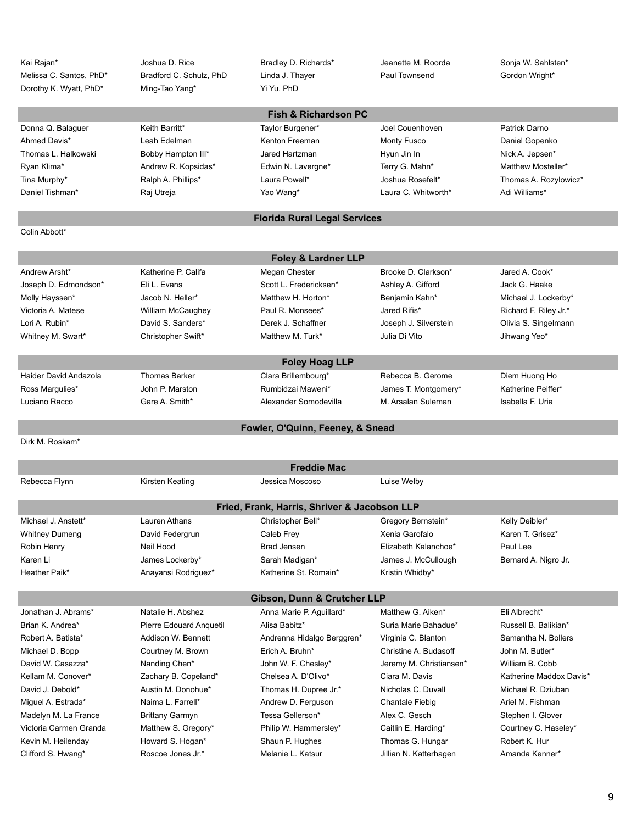| Kai Rajan*              | Joshua D. Rice                 | Bradley D. Richards*                         | Jeanette M. Roorda      | Sonja W. Sahlsten*      |
|-------------------------|--------------------------------|----------------------------------------------|-------------------------|-------------------------|
| Melissa C. Santos, PhD* | Bradford C. Schulz, PhD        | Linda J. Thayer                              | Paul Townsend           | Gordon Wright*          |
| Dorothy K. Wyatt, PhD*  | Ming-Tao Yang*                 | Yi Yu, PhD                                   |                         |                         |
|                         |                                |                                              |                         |                         |
|                         |                                | <b>Fish &amp; Richardson PC</b>              |                         |                         |
| Donna Q. Balaguer       | Keith Barritt*                 | Taylor Burgener*                             | Joel Couenhoven         | Patrick Darno           |
| Ahmed Davis*            | Leah Edelman                   | Kenton Freeman                               | <b>Monty Fusco</b>      | Daniel Gopenko          |
| Thomas L. Halkowski     | Bobby Hampton III*             | Jared Hartzman                               | Hyun Jin In             | Nick A. Jepsen*         |
| Ryan Klima*             | Andrew R. Kopsidas*            | Edwin N. Lavergne*                           | Terry G. Mahn*          | Matthew Mosteller*      |
| Tina Murphy*            | Ralph A. Phillips*             | Laura Powell*                                | Joshua Rosefelt*        | Thomas A. Rozylowicz*   |
| Daniel Tishman*         | Raj Utreja                     | Yao Wang*                                    | Laura C. Whitworth*     | Adi Williams*           |
|                         |                                | <b>Florida Rural Legal Services</b>          |                         |                         |
| Colin Abbott*           |                                |                                              |                         |                         |
|                         |                                | <b>Foley &amp; Lardner LLP</b>               |                         |                         |
| Andrew Arsht*           | Katherine P. Califa            | Megan Chester                                | Brooke D. Clarkson*     | Jared A. Cook*          |
| Joseph D. Edmondson*    | Eli L. Evans                   | Scott L. Fredericksen*                       | Ashley A. Gifford       | Jack G. Haake           |
| Molly Hayssen*          | Jacob N. Heller*               | Matthew H. Horton*                           | Benjamin Kahn*          | Michael J. Lockerby*    |
| Victoria A. Matese      | William McCaughey              | Paul R. Monsees*                             | Jared Rifis*            | Richard F. Riley Jr.*   |
| Lori A. Rubin*          | David S. Sanders*              | Derek J. Schaffner                           | Joseph J. Silverstein   | Olivia S. Singelmann    |
| Whitney M. Swart*       | Christopher Swift*             | Matthew M. Turk*                             | Julia Di Vito           | Jihwang Yeo*            |
|                         |                                |                                              |                         |                         |
|                         |                                | <b>Foley Hoag LLP</b>                        |                         |                         |
| Haider David Andazola   | <b>Thomas Barker</b>           | Clara Brillembourg*                          | Rebecca B. Gerome       | Diem Huong Ho           |
| Ross Margulies*         | John P. Marston                | Rumbidzai Maweni*                            | James T. Montgomery*    | Katherine Peiffer*      |
| Luciano Racco           | Gare A. Smith*                 | Alexander Somodevilla                        | M. Arsalan Suleman      | Isabella F. Uria        |
|                         |                                | Fowler, O'Quinn, Feeney, & Snead             |                         |                         |
| Dirk M. Roskam*         |                                |                                              |                         |                         |
|                         |                                | <b>Freddie Mac</b>                           |                         |                         |
|                         |                                |                                              |                         |                         |
| Rebecca Flynn           | Kirsten Keating                | Jessica Moscoso                              | Luise Welby             |                         |
|                         |                                | Fried, Frank, Harris, Shriver & Jacobson LLP |                         |                         |
| Michael J. Anstett*     | Lauren Athans                  | Christopher Bell*                            | Gregory Bernstein*      | Kelly Deibler*          |
| <b>Whitney Dumeng</b>   | David Federgrun                | Caleb Frey                                   | Xenia Garofalo          | Karen T. Grisez*        |
| Robin Henry             | Neil Hood                      | <b>Brad Jensen</b>                           | Elizabeth Kalanchoe*    | Paul Lee                |
| Karen Li                | James Lockerby*                | Sarah Madigan*                               | James J. McCullough     | Bernard A. Nigro Jr.    |
| Heather Paik*           | Anayansi Rodriguez*            | Katherine St. Romain*                        | Kristin Whidby*         |                         |
|                         |                                | Gibson, Dunn & Crutcher LLP                  |                         |                         |
| Jonathan J. Abrams*     | Natalie H. Abshez              | Anna Marie P. Aguillard*                     | Matthew G. Aiken*       | Eli Albrecht*           |
| Brian K. Andrea*        | <b>Pierre Edouard Anguetil</b> | Alisa Babitz*                                | Suria Marie Bahadue*    | Russell B. Balikian*    |
| Robert A. Batista*      | Addison W. Bennett             | Andrenna Hidalgo Berggren*                   | Virginia C. Blanton     | Samantha N. Bollers     |
| Michael D. Bopp         | Courtney M. Brown              | Erich A. Bruhn*                              | Christine A. Budasoff   | John M. Butler*         |
| David W. Casazza*       | Nanding Chen*                  | John W. F. Chesley*                          | Jeremy M. Christiansen* | William B. Cobb         |
| Kellam M. Conover*      | Zachary B. Copeland*           | Chelsea A. D'Olivo*                          | Ciara M. Davis          | Katherine Maddox Davis* |
|                         |                                |                                              |                         |                         |

David J. Debold\* **Austin M. Donohue\*** Thomas H. Dupree Jr.\* Nicholas C. Duvall Michael R. Dziuban Miguel A. Estrada\* Naima L. Farrell\* Andrew D. Ferguson Chantale Fiebig Ariel M. Fishman Chantale Fiebig Ariel M. Fishman Madelyn M. La France **Brittany Garmyn** Tessa Gellerson\* Alex C. Gesch Stephen I. Glover Victoria Carmen Granda Matthew S. Gregory\* Philip W. Hammersley\* Caitlin E. Harding\* Courtney C. Haseley\* Kevin M. Heilenday **Howard S. Hogan\*** Shaun P. Hughes Thomas G. Hungar Robert K. Hur Clifford S. Hwang\* **Roscoe Jones Jr.\*** Melanie L. Katsur Jillian N. Katterhagen Amanda Kenner\*

9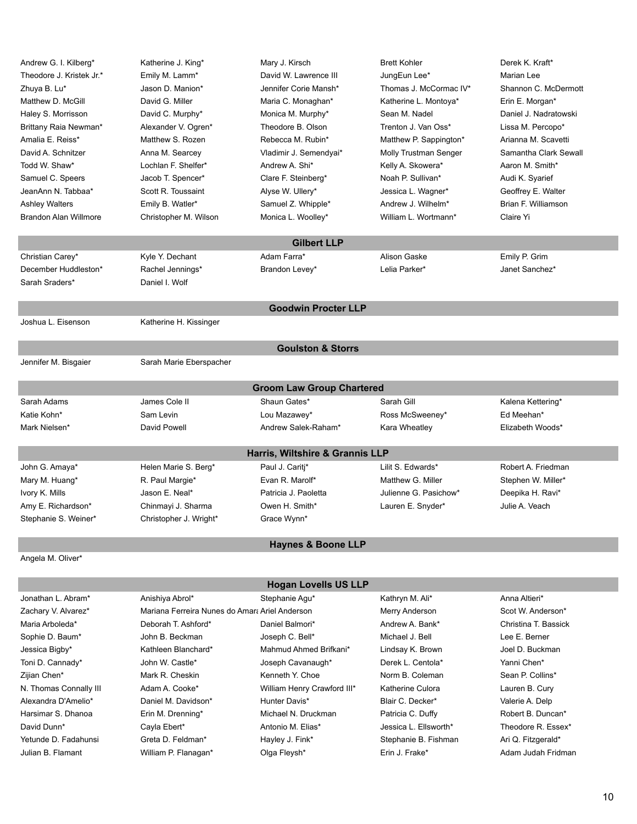| Andrew G. I. Kilberg*           | Katherine J. King*      | Mary J. Kirsch                   | <b>Brett Kohler</b>    | Derek K. Kraft*       |  |
|---------------------------------|-------------------------|----------------------------------|------------------------|-----------------------|--|
| Theodore J. Kristek Jr.*        | Emily M. Lamm*          | David W. Lawrence III            | JungEun Lee*           | Marian Lee            |  |
| Zhuya B. Lu*                    | Jason D. Manion*        | Jennifer Corie Mansh*            | Thomas J. McCormac IV* | Shannon C. McDermott  |  |
| Matthew D. McGill               | David G. Miller         | Maria C. Monaghan*               | Katherine L. Montoya*  | Erin E. Morgan*       |  |
| Haley S. Morrisson              | David C. Murphy*        | Monica M. Murphy*                | Sean M. Nadel          | Daniel J. Nadratowski |  |
| Brittany Raia Newman*           | Alexander V. Ogren*     | Theodore B. Olson                | Trenton J. Van Oss*    | Lissa M. Percopo*     |  |
| Amalia E. Reiss*                | Matthew S. Rozen        | Rebecca M. Rubin*                | Matthew P. Sappington* | Arianna M. Scavetti   |  |
| David A. Schnitzer              | Anna M. Searcey         | Vladimir J. Semendyai*           | Molly Trustman Senger  | Samantha Clark Sewall |  |
| Todd W. Shaw*                   | Lochlan F. Shelfer*     | Andrew A. Shi*                   | Kelly A. Skowera*      | Aaron M. Smith*       |  |
| Samuel C. Speers                | Jacob T. Spencer*       | Clare F. Steinberg*              | Noah P. Sullivan*      | Audi K. Syarief       |  |
| JeanAnn N. Tabbaa*              | Scott R. Toussaint      | Alyse W. Ullery*                 | Jessica L. Wagner*     | Geoffrey E. Walter    |  |
| <b>Ashley Walters</b>           | Emily B. Watler*        | Samuel Z. Whipple*               | Andrew J. Wilhelm*     | Brian F. Williamson   |  |
| Brandon Alan Willmore           | Christopher M. Wilson   | Monica L. Woolley*               | William L. Wortmann*   | Claire Yi             |  |
|                                 |                         | <b>Gilbert LLP</b>               |                        |                       |  |
| Christian Carey*                | Kyle Y. Dechant         | Adam Farra*                      | Alison Gaske           | Emily P. Grim         |  |
| December Huddleston*            | Rachel Jennings*        | Brandon Levey*                   | Lelia Parker*          | Janet Sanchez*        |  |
| Sarah Sraders*                  | Daniel I. Wolf          |                                  |                        |                       |  |
|                                 |                         |                                  |                        |                       |  |
|                                 |                         | <b>Goodwin Procter LLP</b>       |                        |                       |  |
| Joshua L. Eisenson              | Katherine H. Kissinger  |                                  |                        |                       |  |
|                                 |                         | <b>Goulston &amp; Storrs</b>     |                        |                       |  |
| Jennifer M. Bisgaier            | Sarah Marie Eberspacher |                                  |                        |                       |  |
|                                 |                         |                                  |                        |                       |  |
|                                 |                         | <b>Groom Law Group Chartered</b> |                        |                       |  |
| Sarah Adams                     | James Cole II           | Shaun Gates*                     | Sarah Gill             | Kalena Kettering*     |  |
| Katie Kohn*                     | Sam Levin               | Lou Mazawey*                     | Ross McSweeney*        | Ed Meehan*            |  |
| Mark Nielsen*                   | David Powell            | Andrew Salek-Raham*              | Kara Wheatley          | Elizabeth Woods*      |  |
| Harris, Wiltshire & Grannis LLP |                         |                                  |                        |                       |  |
| John G. Amaya*                  | Helen Marie S. Berg*    | Paul J. Caritj*                  | Lilit S. Edwards*      | Robert A. Friedman    |  |
| Mary M. Huang*                  | R. Paul Margie*         | Evan R. Marolf*                  | Matthew G. Miller      | Stephen W. Miller*    |  |
| Ivory K. Mills                  | Jason E. Neal*          | Patricia J. Paoletta             | Julienne G. Pasichow*  | Deepika H. Ravi*      |  |
| Amy E. Richardson*              | Chinmayi J. Sharma      | Owen H. Smith*                   | Lauren E. Snyder*      | Julie A. Veach        |  |
| Stephanie S. Weiner*            | Christopher J. Wright*  | Grace Wynn*                      |                        |                       |  |
|                                 |                         | <b>Haynes &amp; Boone LLP</b>    |                        |                       |  |
|                                 |                         |                                  |                        |                       |  |

Angela M. Oliver\*

#### **Hogan Lovells US LLP**

| Jonathan L. Abram*     | Anishiya Abrol*                                | Stephanie Aqu*              | Kathryn M. Ali*         | Anna Altieri*        |
|------------------------|------------------------------------------------|-----------------------------|-------------------------|----------------------|
| Zachary V. Alvarez*    | Mariana Ferreira Nunes do Amara Ariel Anderson |                             | Merry Anderson          | Scot W. Anderson*    |
| Maria Arboleda*        | Deborah T. Ashford*                            | Daniel Balmori*             | Andrew A. Bank*         | Christina T. Bassick |
| Sophie D. Baum*        | John B. Beckman                                | Joseph C. Bell*             | Michael J. Bell         | Lee E. Berner        |
| Jessica Bigby*         | Kathleen Blanchard*                            | Mahmud Ahmed Brifkani*      | Lindsay K. Brown        | Joel D. Buckman      |
| Toni D. Cannady*       | John W. Castle*                                | Joseph Cavanaugh*           | Derek L. Centola*       | Yanni Chen*          |
| Zijian Chen*           | Mark R. Cheskin                                | Kenneth Y. Choe             | Norm B. Coleman         | Sean P. Collins*     |
| N. Thomas Connally III | Adam A. Cooke*                                 | William Henry Crawford III* | <b>Katherine Culora</b> | Lauren B. Cury       |
| Alexandra D'Amelio*    | Daniel M. Davidson*                            | Hunter Davis*               | Blair C. Decker*        | Valerie A. Delp      |
| Harsimar S. Dhanoa     | Erin M. Drenning*                              | Michael N. Druckman         | Patricia C. Duffy       | Robert B. Duncan*    |
| David Dunn*            | Cayla Ebert*                                   | Antonio M. Elias*           | Jessica L. Ellsworth*   | Theodore R. Essex*   |
| Yetunde D. Fadahunsi   | Greta D. Feldman*                              | Hayley J. Fink*             | Stephanie B. Fishman    | Ari Q. Fitzgerald*   |
| Julian B. Flamant      | William P. Flanagan*                           | Olga Fleysh*                | Erin J. Frake*          | Adam Judah Fridman   |
|                        |                                                |                             |                         |                      |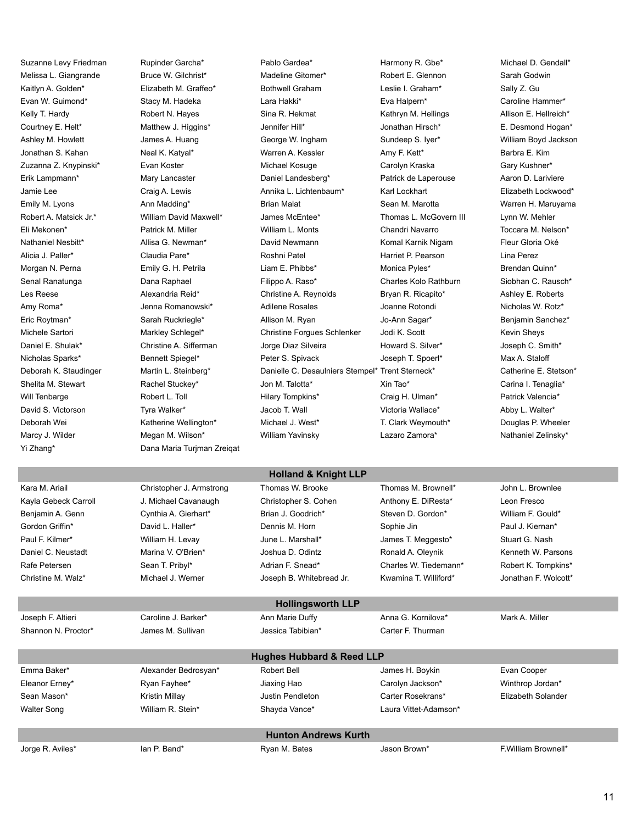Yi Zhang\* Dana Maria Turjman Zreigat

Suzanne Levy Friedman Rupinder Garcha\* Pablo Gardea\* Harmony R. Gbe\* Michael D. Gendall\* Melissa L. Giangrande Bruce W. Gilchrist\* Madeline Gitomer\* Robert E. Glennon Sarah Godwin Kaitlyn A. Golden\* Elizabeth M. Graffeo\* Bothwell Graham Leslie I. Graham\* Sally Z. Gu Evan W. Guimond\* Stacy M. Hadeka Lara Hakki\* Eva Halpern\* Eva Halpern\* Caroline Hammer\* Kelly T. Hardy **Robert N. Hayes** Sina R. Hekmat Kathryn M. Hellings Allison E. Hellreich<sup>\*</sup> Courtney E. Helt\* **Matthew J. Higgins\*** Jennifer Hill\* Jonathan Hirsch\* E. Desmond Hogan\* Ashley M. Howlett **Sunder A. Huang** George W. Ingham Sundeep S. Iyer\* William Boyd Jackson Jonathan S. Kahan **Neal K. Katyal\*** Warren A. Kessler Amy F. Kett\* Barbra E. Kim Zuzanna Z. Knypinski\* Evan Koster Michael Kosuge Carolyn Kraska Gary Kushner\* Erik Lampmann\* **Mary Lancaster** Daniel Landesberg\* Patrick de Laperouse Aaron D. Lariviere Jamie Lee **Craig A. Lewis** Craig A. Lewis Annika L. Lichtenbaum\* Karl Lockhart **Elizabeth Lockwood**\* Emily M. Lyons **Ann Madding\*** Brian Malat Sean M. Marotta Warren H. Maruyama Channel Maruyama Robert A. Matsick Jr.\* William David Maxwell\* James McEntee\* Thomas L. McGovern III Lynn W. Mehler Eli Mekonen\* Patrick M. Miller William L. Monts Chandri Navarro Toccara M. Nelson\* Nathaniel Nesbitt\* **Allisa G. Newman\*** David Newmann Komal Karnik Nigam Fleur Gloria Oké Alicia J. Paller\* Claudia Pare\* Roshni Patel Harriet P. Pearson Lina Perez Morgan N. Perna **Emily G. H. Petrila** Liam E. Phibbs<sup>\*</sup> Monica Pyles<sup>\*</sup> Brendan Quinn<sup>\*</sup> Senal Ranatunga **Senal Ranatunga Carabaet Charles A. Raso**\* Charles Kolo Rathburn Siobhan C. Rausch\* Les Reese **Alexandria Reid\*** Christine A. Reynolds Bryan R. Ricapito\* Ashley E. Roberts Amy Roma\* The Sumanowski Adilene Rosales Joanne Rotondi Nicholas W. Rotz\* Eric Roytman\* Sarah Ruckriegle\* Allison M. Ryan Jo-Ann Sagar\* Benjamin Sanchez\* Michele Sartori **Markley Schlegel\*** Christine Forgues Schlenker Jodi K. Scott Kevin Sheys Daniel E. Shulak\* Christine A. Sifferman Jorge Diaz Silveira Howard S. Silver\* Joseph C. Smith\* Nicholas Sparks\* **Bennett Spiegel\*** Peter S. Spivack Joseph T. Spoerl\* Max A. Staloff Deborah K. Staudinger Martin L. Steinberg\* Danielle C. Desaulniers Stempel\* Trent Sterneck\* Catherine E. Stetson\* Shelita M. Stewart **Rachel Stuckey\*** Jon M. Talotta\* Xin Tao\* Xin Tao\* Carina I. Tenaglia\* Will Tenbarge **Robert L. Toll Computers** Hilary Tompkins\* Craig H. Ulman\* Patrick Valencia\* David S. Victorson Tyra Walker\* Jacob T. Wall Victoria Wallace\* Abby L. Walter\* Deborah Wei **Katherine Wellington\*** Michael J. West\* T. Clark Weymouth\* Douglas P. Wheeler Marcy J. Wilder **Megan M. Wilson\*** William Yavinsky **Marcy J. William Yavinsky** Lazaro Zamora\* Nathaniel Zelinsky\*

| <b>Holland &amp; Knight LLP</b> |                          |                                      |                       |                      |  |
|---------------------------------|--------------------------|--------------------------------------|-----------------------|----------------------|--|
| Kara M. Ariail                  | Christopher J. Armstrong | Thomas W. Brooke                     | Thomas M. Brownell*   | John L. Brownlee     |  |
| Kayla Gebeck Carroll            | J. Michael Cavanaugh     | Christopher S. Cohen                 | Anthony E. DiResta*   | Leon Fresco          |  |
| Benjamin A. Genn                | Cynthia A. Gierhart*     | Brian J. Goodrich*                   | Steven D. Gordon*     | William F. Gould*    |  |
| Gordon Griffin*                 | David L. Haller*         | Dennis M. Horn                       | Sophie Jin            | Paul J. Kiernan*     |  |
| Paul F. Kilmer*                 | William H. Levay         | June L. Marshall*                    | James T. Meggesto*    | Stuart G. Nash       |  |
| Daniel C. Neustadt              | Marina V. O'Brien*       | Joshua D. Odintz                     | Ronald A. Oleynik     | Kenneth W. Parsons   |  |
| Rafe Petersen                   | Sean T. Pribyl*          | Adrian F. Snead*                     | Charles W. Tiedemann* | Robert K. Tompkins*  |  |
| Christine M. Walz*              | Michael J. Werner        | Joseph B. Whitebread Jr.             | Kwamina T. Williford* | Jonathan F. Wolcott* |  |
|                                 |                          |                                      |                       |                      |  |
|                                 |                          | <b>Hollingsworth LLP</b>             |                       |                      |  |
| Joseph F. Altieri               | Caroline J. Barker*      | Ann Marie Duffy                      | Anna G. Kornilova*    | Mark A. Miller       |  |
| Shannon N. Proctor*             | James M. Sullivan        | Jessica Tabibian*                    | Carter F. Thurman     |                      |  |
|                                 |                          |                                      |                       |                      |  |
|                                 |                          | <b>Hughes Hubbard &amp; Reed LLP</b> |                       |                      |  |
| Emma Baker*                     | Alexander Bedrosyan*     | Robert Bell                          | James H. Boykin       | Evan Cooper          |  |
| Eleanor Erney*                  | Ryan Fayhee*             | Jiaxing Hao                          | Carolyn Jackson*      | Winthrop Jordan*     |  |
| Sean Mason*                     | Kristin Millay           | Justin Pendleton                     | Carter Rosekrans*     | Elizabeth Solander   |  |
| <b>Walter Song</b>              | William R. Stein*        | Shayda Vance*                        | Laura Vittet-Adamson* |                      |  |
|                                 |                          |                                      |                       |                      |  |
|                                 | Hunton Andrews Kurth     |                                      |                       |                      |  |

Jorge R. Aviles\* Ian P. Band\* Ryan M. Bates Jason Brown\* F.William Brownell\*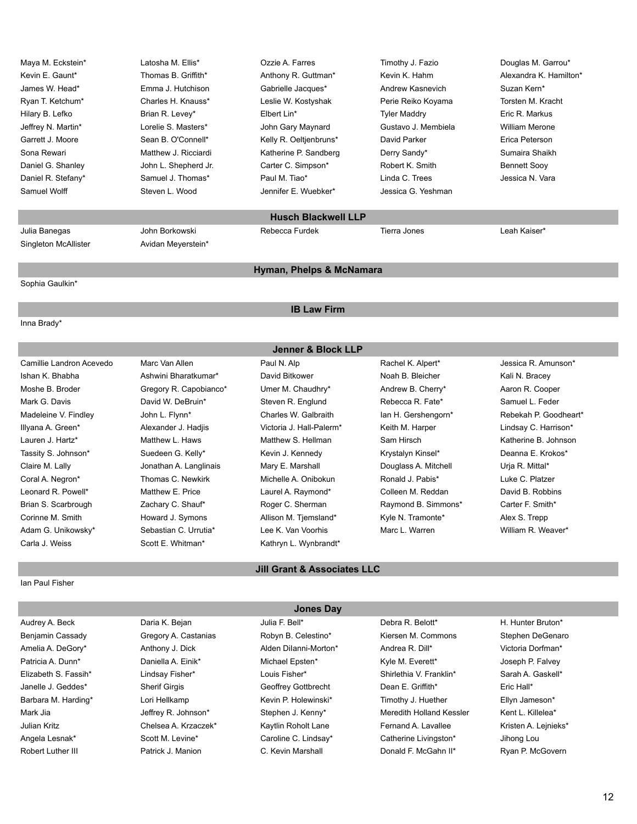Maya M. Eckstein\* **Maya M. Ellistering Carrout Carrout Carrout** Carrout Communic Carrout Communic Meyer A. Garrout Kevin E. Gaunt\* Thomas B. Griffith\* Anthony R. Guttman\* Kevin K. Hahm Alexandra K. Hamilton\* James W. Head\* Emma J. Hutchison Gabrielle Jacques\* Andrew Kasnevich Suzan Kern\* Ryan T. Ketchum\* Charles H. Knauss\* Leslie W. Kostyshak Perie Reiko Koyama Torsten M. Kracht Hilary B. Lefko Brian R. Levey\* Elbert Lin\* Tyler Maddry Eric R. Markus Jeffrey N. Martin\* Lorelie S. Masters\* John Gary Maynard Gustavo J. Membiela William Merone Garrett J. Moore **Sean B. O'Connell\*** Kelly R. Oeltjenbruns\* David Parker Erica Peterson Sona Rewari **Matthew J. Ricciardi** Katherine P. Sandberg Derry Sandy\* Sumaira Shaikh Daniel G. Shanley John L. Shepherd Jr. Carter C. Simpson\* Robert K. Smith Bennett Sooy Daniel R. Stefany\* Samuel J. Thomas\* Paul M. Tiao\* Linda C. Trees Jessica N. Vara Samuel Wolff **Steven L. Wood** Jennifer E. Wuebker\* Jessica G. Yeshman

#### **Husch Blackwell LLP**

Singleton McAllister **Avidan Meyerstein**\*

Julia Banegas John Borkowski Rebecca Furdek Tierra Jones Leah Kaiser\*

Sophia Gaulkin\*

Inna Brady\*

#### **IB Law Firm**

**Jenner & Block LLP**

**Hyman, Phelps & McNamara**

Camillie Landron Acevedo Marc Van Allen Paul N. Alp Rachel K. Alpert<sup>\*</sup> Jessica R. Amunson<sup>\*</sup> Ishan K. Bhabha **Ashwini Bharatkumar\*** David Bitkower Noah B. Bleicher Kali N. Bracey Kali N. Bracey Moshe B. Broder **Gregory R. Capobianco\*** Umer M. Chaudhry\* Andrew B. Cherry\* Aaron R. Cooper Mark G. Davis **Mark G. David W. DeBruin\*** Steven R. Englund Rebecca R. Fate\* Samuel L. Feder Madeleine V. Findley **State Charles W. Galbraith** Ian H. Gershengorn\* Rebekah P. Goodheart\* Illyana A. Green\* **Alexander J. Hadjis** Victoria J. Hall-Palerm\* Keith M. Harper **M. Hartison**\* Lindsay C. Harrison\* Lauren J. Hartz\* **Matthew L. Haws Matthew S. Hellman** Sam Hirsch Sam Hirsch Katherine B. Johnson Tassity S. Johnson\* Suedeen G. Kelly\* Kevin J. Kennedy Krystalyn Kinsel\* Deanna E. Krokos\* Claire M. Lally **Subset Claire M. Langlinais** Mary E. Marshall **Mary H. Douglass A. Mitchell** Urja R. Mittal\* Coral A. Negron\* Thomas C. Newkirk Michelle A. Onibokun Ronald J. Pabis\* Luke C. Platzer Leonard R. Powell\* Matthew E. Price Laurel A. Raymond\* Colleen M. Reddan David B. Robbins Brian S. Scarbrough **Zachary C. Shauf\*** Roger C. Sherman Raymond B. Simmons\* Carter F. Smith\* Corinne M. Smith **Howard J. Symons** Allison M. Tiemsland\* Kyle N. Tramonte\* Alex S. Trepp Adam G. Unikowsky\* Sebastian C. Urrutia\* Lee K. Van Voorhis Marc L. Warren William R. Weaver\*

Carla J. Weiss Scott E. Whitman\* Kathryn L. Wynbrandt\*

Ian Paul Fisher

### **Jones Day**

**Jill Grant & Associates LLC**

Audrey A. Beck **Daria K. Bejan Carry Audia F. Bell**\* Debra R. Belott\* H. Hunter Bruton\* Benjamin Cassady **Sich Castanias** Robyn B. Celestino\* Kiersen M. Commons Stephen DeGenaro Amelia A. DeGory\* **Anthony J. Dick Alden Dilanni-Morton\*** Andrea R. Dill\* Victoria Dorfman\* Patricia A. Dunn\* Daniella A. Einik\* Michael Epsten\* Kyle M. Everett\* Joseph P. Falvey Elizabeth S. Fassih\* Lindsay Fisher\* Louis Fisher\* Shirlethia V. Franklin\* Sarah A. Gaskell\* Janelle J. Geddes\* Sherif Girgis Geoffrey Gottbrecht Dean E. Griffith\* Eric Hall\* Barbara M. Harding\* Clori Hellkamp Kevin P. Holewinski\* Timothy J. Huether Ellyn Jameson\* Mark Jia **Mark Jeffrey R. Johnson\*** Stephen J. Kenny\* Meredith Holland Kessler Kent L. Killelea\* Julian Kritz Chelsea A. Krzaczek\* Kaytlin Roholt Lane Fernand A. Lavallee Kristen A. Lejnieks\* Angela Lesnak\* Scott M. Levine\* Caroline C. Lindsay\* Catherine Livingston\* Jihong Lou Robert Luther III **Patrick J. Manion** C. Kevin Marshall **C. Metall Donald F. McGahn II\*** Ryan P. McGovern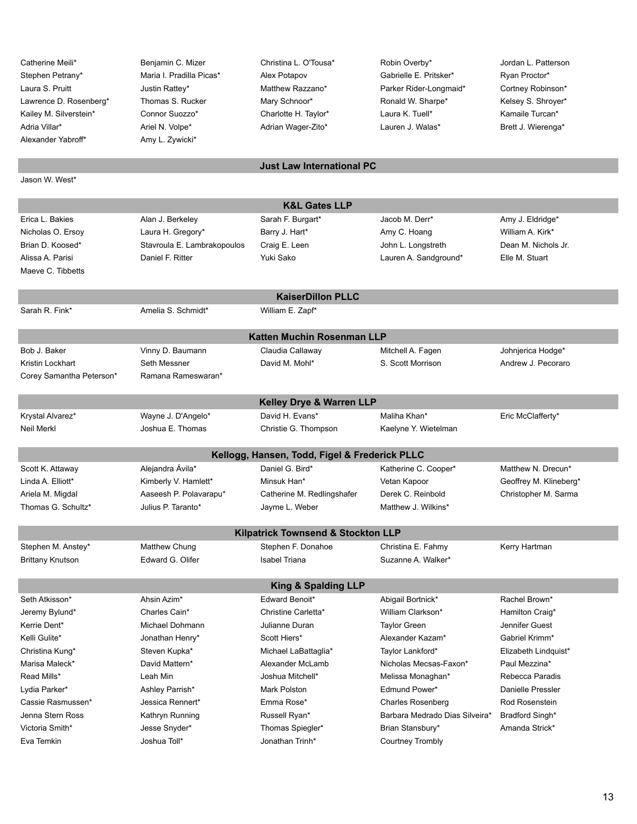| Catherine Meili*         | Benjamin C. Mizer           | Christina L. O'Tousa*                         | Robin Overby*                  | Jordan L. Patterson    |
|--------------------------|-----------------------------|-----------------------------------------------|--------------------------------|------------------------|
| Stephen Petrany*         | Maria I. Pradilla Picas*    | Alex Potapov                                  | Gabrielle E. Pritsker*         | Ryan Proctor*          |
| Laura S. Pruitt          | Justin Rattey*              | Matthew Razzano*                              | Parker Rider-Longmaid*         | Cortney Robinson*      |
| Lawrence D. Rosenberg*   | Thomas S. Rucker            | Mary Schnoor*                                 | Ronald W. Sharpe*              | Kelsey S. Shroyer*     |
| Kailey M. Silverstein*   | Connor Suozzo*              | Charlotte H. Taylor*                          | Laura K. Tuell*                | Kamaile Turcan*        |
| Adria Villar*            | Ariel N. Volpe*             | Adrian Wager-Zito*                            | Lauren J. Walas*               | Brett J. Wierenga*     |
| Alexander Yabroff*       | Amy L. Zywicki*             |                                               |                                |                        |
|                          |                             |                                               |                                |                        |
|                          |                             | <b>Just Law International PC</b>              |                                |                        |
| Jason W. West*           |                             |                                               |                                |                        |
|                          |                             |                                               |                                |                        |
|                          |                             | <b>K&amp;L Gates LLP</b>                      |                                |                        |
| Erica L. Bakies          | Alan J. Berkeley            | Sarah F. Burgart*                             | Jacob M. Derr*                 | Amy J. Eldridge*       |
| Nicholas O. Ersoy        | Laura H. Gregory*           | Barry J. Hart*                                | Amy C. Hoang                   | William A. Kirk*       |
| Brian D. Koosed*         | Stavroula E. Lambrakopoulos | Craig E. Leen                                 | John L. Longstreth             | Dean M. Nichols Jr.    |
| Alissa A. Parisi         | Daniel F. Ritter            | Yuki Sako                                     | Lauren A. Sandground*          | Elle M. Stuart         |
| Maeve C. Tibbetts        |                             |                                               |                                |                        |
|                          |                             | <b>KaiserDillon PLLC</b>                      |                                |                        |
| Sarah R. Fink*           | Amelia S. Schmidt*          | William E. Zapf*                              |                                |                        |
|                          |                             |                                               |                                |                        |
|                          |                             | Katten Muchin Rosenman LLP                    |                                |                        |
| Bob J. Baker             | Vinny D. Baumann            | Claudia Callaway                              | Mitchell A. Fagen              | Johnjerica Hodge*      |
| Kristin Lockhart         | Seth Messner                | David M. Mohl*                                | S. Scott Morrison              | Andrew J. Pecoraro     |
| Corey Samantha Peterson* | Ramana Rameswaran*          |                                               |                                |                        |
|                          |                             |                                               |                                |                        |
|                          |                             | <b>Kelley Drye &amp; Warren LLP</b>           |                                |                        |
| Krystal Alvarez*         | Wayne J. D'Angelo*          | David H. Evans*                               | Maliha Khan*                   | Eric McClafferty*      |
| Neil Merkl               | Joshua E. Thomas            | Christie G. Thompson                          | Kaelyne Y. Wietelman           |                        |
|                          |                             | Kellogg, Hansen, Todd, Figel & Frederick PLLC |                                |                        |
| Scott K. Attaway         | Alejandra Ávila*            | Daniel G. Bird*                               | Katherine C. Cooper*           | Matthew N. Drecun*     |
| Linda A. Elliott*        | Kimberly V. Hamlett*        | Minsuk Han*                                   | Vetan Kapoor                   |                        |
|                          | Aaseesh P. Polavarapu*      |                                               | Derek C. Reinbold              | Geoffrey M. Klineberg* |
| Ariela M. Migdal         |                             | Catherine M. Redlingshafer                    |                                | Christopher M. Sarma   |
| Thomas G. Schultz*       | Julius P. Taranto*          | Jayme L. Weber                                | Matthew J. Wilkins*            |                        |
|                          |                             | <b>Kilpatrick Townsend &amp; Stockton LLP</b> |                                |                        |
| Stephen M. Anstey*       | <b>Matthew Chung</b>        | Stephen F. Donahoe                            | Christina E. Fahmy             | Kerry Hartman          |
| <b>Brittany Knutson</b>  | Edward G. Olifer            | <b>Isabel Triana</b>                          | Suzanne A. Walker*             |                        |
|                          |                             |                                               |                                |                        |
|                          |                             | <b>King &amp; Spalding LLP</b>                |                                |                        |
| Seth Atkisson*           | Ahsin Azim*                 | Edward Benoit*                                | Abigail Bortnick*              | Rachel Brown*          |
| Jeremy Bylund*           | Charles Cain*               | Christine Carletta*                           | William Clarkson*              | Hamilton Craig*        |
| Kerrie Dent*             | Michael Dohmann             | Julianne Duran                                | <b>Taylor Green</b>            | Jennifer Guest         |
| Kelli Gulite*            | Jonathan Henry*             | Scott Hiers*                                  | Alexander Kazam*               | Gabriel Krimm*         |
| Christina Kung*          | Steven Kupka*               | Michael LaBattaglia*                          | Taylor Lankford*               | Elizabeth Lindquist*   |
| Marisa Maleck*           | David Mattern*              | Alexander McLamb                              | Nicholas Mecsas-Faxon*         | Paul Mezzina*          |
| Read Mills*              | Leah Min                    | Joshua Mitchell*                              | Melissa Monaghan*              | Rebecca Paradis        |
| Lydia Parker*            | Ashley Parrish*             | Mark Polston                                  | Edmund Power*                  | Danielle Pressler      |
| Cassie Rasmussen*        | Jessica Rennert*            | Emma Rose*                                    | <b>Charles Rosenberg</b>       | Rod Rosenstein         |
| Jenna Stern Ross         | Kathryn Running             | Russell Ryan*                                 | Barbara Medrado Dias Silveira* | Bradford Singh*        |
| Victoria Smith*          | Jesse Snyder*               | Thomas Spiegler*                              | Brian Stansbury*               | Amanda Strick*         |
| Eva Temkin               | Joshua Toll*                | Jonathan Trinh*                               | Courtney Trombly               |                        |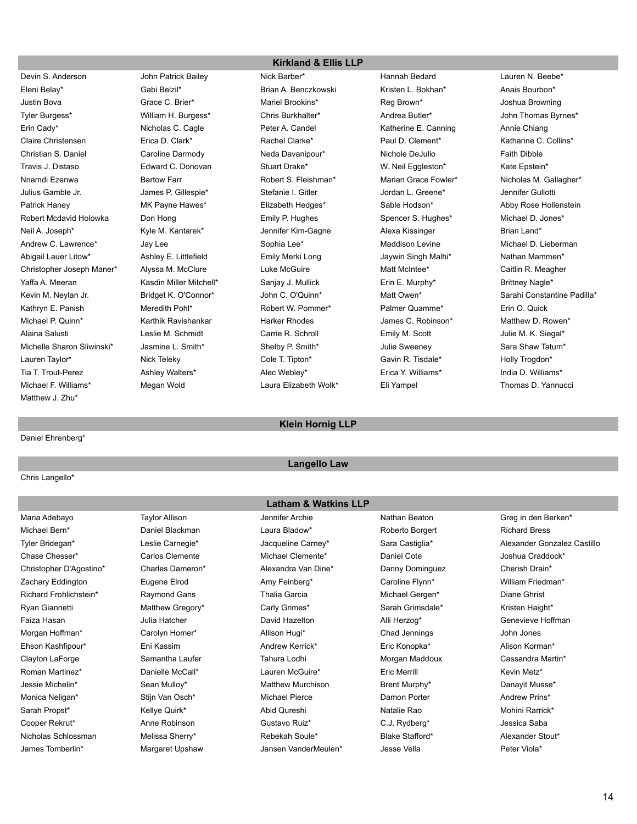Devin S. Anderson John Patrick Bailey Nick Barber\* Hannah Bedard Lauren N. Beebe\* Eleni Belay\* Gabi Belzil\* Brian A. Benczkowski Kristen L. Bokhan\* Anais Bourbon\* Justin Bova Grace C. Brier\* Mariel Brookins\* Reg Brown\* Joshua Browning Tyler Burgess\* William H. Burgess\* Chris Burkhalter\* Andrea Butler\* John Thomas Byrnes\* Erin Cady\* Nicholas C. Cagle Peter A. Candel Katherine E. Canning Annie Chiang Claire Christensen **Erica D. Clark\*** Rachel Clarke\* Paul D. Clement\* Katharine C. Collins\* Christian S. Daniel Caroline Darmody Neda Davanipour\* Nichole DeJulio Faith Dibble Travis J. Distaso Edward C. Donovan Stuart Drake\* W. Neil Eggleston\* Kate Epstein\* Nnamdi Ezenwa **Bartow Farr Bartow Farr** Robert S. Fleishman\* Marian Grace Fowler\* Nicholas M. Gallagher\* Julius Gamble Jr. James P. Gillespie\* Stefanie I. Gitler Jordan L. Greene\* Jennifer Gullotti Patrick Haney **MK Payne Hawes\*** Elizabeth Hedges\* Sable Hodson\* Abby Rose Hollenstein Care and The Materian Abby Rose Hollenstein Robert Mcdavid Holowka Don Hong **Emily P. Hughes Spencer S. Hughes\*** Michael D. Jones\* Neil A. Joseph\* Kyle M. Kantarek\* Jennifer Kim-Gagne Alexa Kissinger Brian Land\* Andrew C. Lawrence\* Jay Lee Sophia Lee\* Maddison Levine Maddison Levine Michael D. Lieberman Abigail Lauer Litow\* **Ashley E. Littlefield** Emily Merki Long **Emily Merki Long** Jaywin Singh Malhi\* Nathan Mammen\* Christopher Joseph Maner\* Alyssa M. McClure Luke McGuire Matt McIntee\* Caitlin R. Meagher Yaffa A. Meeran **Kasdin Miller Mitchell\*** Sanjay J. Mullick **Sanging Herin E. Murphy\*** Brittney Nagle\* Kathryn E. Panish **Meredith Pohl\*** Robert W. Pommer\* Palmer Quamme\* Erin O. Quick Michael P. Quinn\* **Karthik Ravishankar** Harker Rhodes James C. Robinson\* Matthew D. Rowen\* Alaina Salusti Leslie M. Schmidt Carrie R. Schroll Emily M. Scott Julie M. K. Siegal\* Michelle Sharon Sliwinski\* Jasmine L. Smith\* Shelby P. Smith\* Julie Sweeney Sara Shaw Tatum\* Lauren Taylor\* Nick Teleky Cole T. Tipton\* Gavin R. Tisdale\* Holly Trogdon\* Tia T. Trout-Perez **Ashley Walters\*** Alec Webley\* Erica Y. Williams\* India D. Williams\* Michael F. Williams\* Megan Wold Laura Elizabeth Wolk\* Eli Yampel Thomas D. Yannucci Matthew J. Zhu\*

#### **Kirkland & Ellis LLP**

Kevin M. Neylan Jr. **Bridget K. O'Connor\*** John C. O'Quinn\* Matt Owen\* Sarahi Constantine Padilla\*

Daniel Ehrenberg\*

Chris Langello\*

Maria Adebayo Taylor Allison Jennifer Archie Nathan Beaton Greg in den Berken\* Michael Bern\* Daniel Blackman Laura Bladow\* Roberto Borgert Richard Bress Chase Chesser\* Carlos Clemente Michael Clemente\* Daniel Cote Joshua Craddock\* Christopher D'Agostino\* Charles Dameron\* Alexandra Van Dine\* Danny Dominguez Cherish Drain\* Zachary Eddington **Eugene Elrod** Amy Feinberg<sup>\*</sup> Caroline Flynn<sup>\*</sup> William Friedman<sup>\*</sup> Caroline Flynn<sup>\*</sup> William Friedman<sup>\*</sup> Richard Frohlichstein\* Raymond Gans Thalia Garcia Michael Gergen\* Diane Ghrist Ryan Giannetti **Matthew Gregory\*** Carly Grimes\* Sarah Grimsdale\* Kristen Haight\* Kristen Haight\* Faiza Hasan Julia Hatcher David Hazelton Alli Herzog\* Genevieve Hoffman Morgan Hoffman\* Carolyn Homer\* Allison Hugi\* Chad Jennings John Jones Ehson Kashfipour\* Eni Kassim Andrew Kerrick\* Eric Konopka\* Alison Korman\* Clayton LaForge **Samantha Laufer** Tahura Lodhi Morgan Maddoux Cassandra Martin<sup>\*</sup> Roman Martinez\* Danielle McCall\* Lauren McGuire\* Eric Merrill Kevin Metz\* Jessie Michelin\* Sean Mulloy\* Matthew Murchison Brent Murphy\* Danayit Musse\* Monica Neligan\* Stijn Van Osch\* Michael Pierce Damon Porter Andrew Prins\* Andrew Prins\* Sarah Propst\* Kellye Quirk\* Abid Qureshi Natalie Rao Mohini Rarrick\* Cooper Rekrut\* Anne Robinson Gustavo Ruiz\* C.J. Rydberg\* Jessica Saba Nicholas Schlossman Melissa Sherry\* Rebekah Soule\* Blake Stafford\* Alexander Stout\* James Tomberlin\* Margaret Upshaw Jansen VanderMeulen\* Jesse Vella Peter Viola\*

**Klein Hornig LLP**

## **Langello Law**

#### **Latham & Watkins LLP**

Tyler Bridegan\* Leslie Carnegie\* Jacqueline Carney\* Sara Castiglia\* Alexander Gonzalez Castillo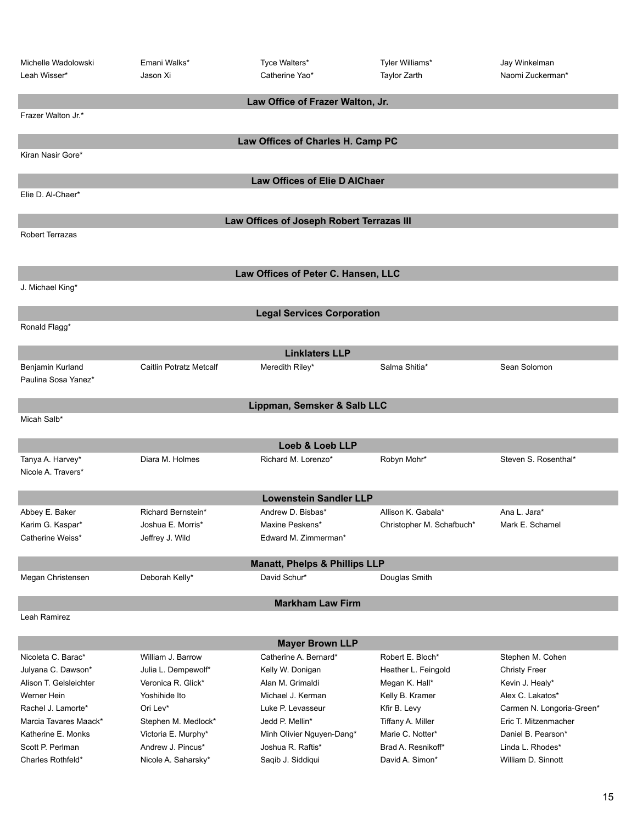| Michelle Wadolowski<br>Leah Wisser*  | Emani Walks*<br>Jason Xi       | Tyce Walters*<br>Catherine Yao*           | Tyler Williams*<br>Taylor Zarth | Jay Winkelman<br>Naomi Zuckerman* |
|--------------------------------------|--------------------------------|-------------------------------------------|---------------------------------|-----------------------------------|
|                                      |                                | Law Office of Frazer Walton, Jr.          |                                 |                                   |
| Frazer Walton Jr.*                   |                                |                                           |                                 |                                   |
|                                      |                                | Law Offices of Charles H. Camp PC         |                                 |                                   |
| Kiran Nasir Gore*                    |                                |                                           |                                 |                                   |
|                                      |                                |                                           |                                 |                                   |
|                                      |                                | Law Offices of Elie D AlChaer             |                                 |                                   |
| Elie D. Al-Chaer*                    |                                |                                           |                                 |                                   |
|                                      |                                | Law Offices of Joseph Robert Terrazas III |                                 |                                   |
| Robert Terrazas                      |                                |                                           |                                 |                                   |
|                                      |                                |                                           |                                 |                                   |
|                                      |                                |                                           |                                 |                                   |
|                                      |                                | Law Offices of Peter C. Hansen, LLC       |                                 |                                   |
| J. Michael King*                     |                                |                                           |                                 |                                   |
|                                      |                                | <b>Legal Services Corporation</b>         |                                 |                                   |
| Ronald Flagg*                        |                                |                                           |                                 |                                   |
|                                      |                                |                                           |                                 |                                   |
|                                      |                                | <b>Linklaters LLP</b>                     |                                 |                                   |
| Benjamin Kurland                     | <b>Caitlin Potratz Metcalf</b> | Meredith Riley*                           | Salma Shitia*                   | Sean Solomon                      |
| Paulina Sosa Yanez*                  |                                |                                           |                                 |                                   |
|                                      |                                |                                           |                                 |                                   |
| Micah Salb*                          |                                | Lippman, Semsker & Salb LLC               |                                 |                                   |
|                                      |                                |                                           |                                 |                                   |
|                                      |                                | <b>Loeb &amp; Loeb LLP</b>                |                                 |                                   |
| Tanya A. Harvey*                     | Diara M. Holmes                | Richard M. Lorenzo*                       | Robyn Mohr*                     | Steven S. Rosenthal*              |
| Nicole A. Travers*                   |                                |                                           |                                 |                                   |
|                                      |                                |                                           |                                 |                                   |
|                                      |                                | <b>Lowenstein Sandler LLP</b>             |                                 |                                   |
| Abbey E. Baker                       | <b>Richard Bernstein*</b>      | Andrew D. Bisbas*                         | Allison K. Gabala*              | Ana L. Jara*                      |
| Karim G. Kaspar*<br>Catherine Weiss* | Joshua E. Morris*              | Maxine Peskens*<br>Edward M. Zimmerman*   | Christopher M. Schafbuch*       | Mark E. Schamel                   |
|                                      | Jeffrey J. Wild                |                                           |                                 |                                   |
|                                      |                                | <b>Manatt, Phelps &amp; Phillips LLP</b>  |                                 |                                   |
| Megan Christensen                    | Deborah Kelly*                 | David Schur*                              | Douglas Smith                   |                                   |
|                                      |                                |                                           |                                 |                                   |
|                                      |                                | <b>Markham Law Firm</b>                   |                                 |                                   |
| Leah Ramirez                         |                                |                                           |                                 |                                   |
|                                      |                                | <b>Mayer Brown LLP</b>                    |                                 |                                   |
| Nicoleta C. Barac*                   | William J. Barrow              | Catherine A. Bernard*                     | Robert E. Bloch*                | Stephen M. Cohen                  |
| Julyana C. Dawson*                   | Julia L. Dempewolf*            | Kelly W. Donigan                          | Heather L. Feingold             | <b>Christy Freer</b>              |
| Alison T. Gelsleichter               | Veronica R. Glick*             | Alan M. Grimaldi                          | Megan K. Hall*                  | Kevin J. Healy*                   |
| Werner Hein                          | Yoshihide Ito                  | Michael J. Kerman                         | Kelly B. Kramer                 | Alex C. Lakatos*                  |
| Rachel J. Lamorte*                   | Ori Lev*                       | Luke P. Levasseur                         | Kfir B. Levy                    | Carmen N. Longoria-Green*         |
| Marcia Tavares Maack*                | Stephen M. Medlock*            | Jedd P. Mellin*                           | Tiffany A. Miller               | Eric T. Mitzenmacher              |
| Katherine E. Monks                   | Victoria E. Murphy*            | Minh Olivier Nguyen-Dang*                 | Marie C. Notter*                | Daniel B. Pearson*                |
| Scott P. Perlman                     | Andrew J. Pincus*              | Joshua R. Raftis*                         | Brad A. Resnikoff*              | Linda L. Rhodes*                  |
| Charles Rothfeld*                    | Nicole A. Saharsky*            | Saqib J. Siddiqui                         | David A. Simon*                 | William D. Sinnott                |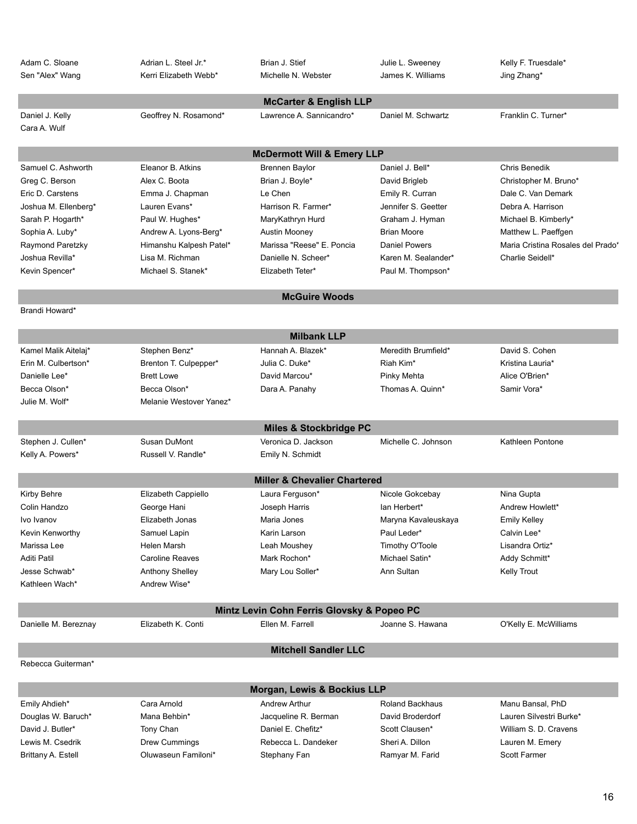| Adam C. Sloane       | Adrian L. Steel Jr.*        | Brian J. Stief                                      | Julie L. Sweeney       | Kelly F. Truesdale*                           |  |  |  |
|----------------------|-----------------------------|-----------------------------------------------------|------------------------|-----------------------------------------------|--|--|--|
| Sen "Alex" Wang      | Kerri Elizabeth Webb*       | Michelle N. Webster                                 | James K. Williams      | Jing Zhang*                                   |  |  |  |
|                      |                             |                                                     |                        |                                               |  |  |  |
|                      |                             | <b>McCarter &amp; English LLP</b>                   |                        |                                               |  |  |  |
| Daniel J. Kelly      | Geoffrey N. Rosamond*       | Lawrence A. Sannicandro*                            | Daniel M. Schwartz     | Franklin C. Turner*                           |  |  |  |
| Cara A. Wulf         |                             |                                                     |                        |                                               |  |  |  |
|                      |                             | <b>McDermott Will &amp; Emery LLP</b>               |                        |                                               |  |  |  |
| Samuel C. Ashworth   | Eleanor B. Atkins           | <b>Brennen Baylor</b>                               | Daniel J. Bell*        | Chris Benedik                                 |  |  |  |
| Greg C. Berson       | Alex C. Boota               | Brian J. Boyle*                                     | David Brigleb          | Christopher M. Bruno*                         |  |  |  |
| Eric D. Carstens     | Emma J. Chapman             | Le Chen                                             | Emily R. Curran        | Dale C. Van Demark                            |  |  |  |
| Joshua M. Ellenberg* | Lauren Evans*               | Harrison R. Farmer*                                 | Jennifer S. Geetter    | Debra A. Harrison                             |  |  |  |
| Sarah P. Hogarth*    | Paul W. Hughes*             | MaryKathryn Hurd                                    | Graham J. Hyman        | Michael B. Kimberly*                          |  |  |  |
| Sophia A. Luby*      | Andrew A. Lyons-Berg*       | <b>Austin Mooney</b>                                | <b>Brian Moore</b>     | Matthew L. Paeffgen                           |  |  |  |
| Raymond Paretzky     | Himanshu Kalpesh Patel*     | Marissa "Reese" E. Poncia                           | <b>Daniel Powers</b>   | Maria Cristina Rosales del Prado <sup>®</sup> |  |  |  |
| Joshua Revilla*      | Lisa M. Richman             | Danielle N. Scheer*                                 | Karen M. Sealander*    | Charlie Seidell*                              |  |  |  |
| Kevin Spencer*       | Michael S. Stanek*          | Elizabeth Teter*                                    | Paul M. Thompson*      |                                               |  |  |  |
|                      |                             |                                                     |                        |                                               |  |  |  |
| Brandi Howard*       |                             | <b>McGuire Woods</b>                                |                        |                                               |  |  |  |
|                      |                             |                                                     |                        |                                               |  |  |  |
|                      |                             | <b>Milbank LLP</b>                                  |                        |                                               |  |  |  |
| Kamel Malik Aitelaj* | Stephen Benz*               | Hannah A. Blazek*                                   | Meredith Brumfield*    | David S. Cohen                                |  |  |  |
| Erin M. Culbertson*  | Brenton T. Culpepper*       | Julia C. Duke*                                      | Riah Kim*              | Kristina Lauria*                              |  |  |  |
| Danielle Lee*        | <b>Brett Lowe</b>           | David Marcou*                                       | Pinky Mehta            | Alice O'Brien*                                |  |  |  |
| Becca Olson*         | Becca Olson*                | Dara A. Panahy                                      | Thomas A. Quinn*       | Samir Vora*                                   |  |  |  |
| Julie M. Wolf*       | Melanie Westover Yanez*     |                                                     |                        |                                               |  |  |  |
|                      |                             | Miles & Stockbridge PC                              |                        |                                               |  |  |  |
| Stephen J. Cullen*   | <b>Susan DuMont</b>         | Veronica D. Jackson                                 | Michelle C. Johnson    | Kathleen Pontone                              |  |  |  |
| Kelly A. Powers*     | Russell V. Randle*          | Emily N. Schmidt                                    |                        |                                               |  |  |  |
|                      |                             | <b>Miller &amp; Chevalier Chartered</b>             |                        |                                               |  |  |  |
| Kirby Behre          | Elizabeth Cappiello         | Laura Ferguson*                                     | Nicole Gokcebay        | Nina Gupta                                    |  |  |  |
| Colin Handzo         | George Hani                 | Joseph Harris                                       | lan Herbert*           | Andrew Howlett*                               |  |  |  |
| Ivo Ivanov           | Elizabeth Jonas             | Maria Jones                                         | Maryna Kavaleuskaya    | <b>Emily Kelley</b>                           |  |  |  |
| Kevin Kenworthy      | Samuel Lapin                | Karin Larson                                        | Paul Leder*            | Calvin Lee*                                   |  |  |  |
| Marissa Lee          | Helen Marsh                 | Leah Moushey                                        | Timothy O'Toole        | Lisandra Ortiz*                               |  |  |  |
| <b>Aditi Patil</b>   | <b>Caroline Reaves</b>      | Mark Rochon*                                        | Michael Satin*         | Addy Schmitt*                                 |  |  |  |
| Jesse Schwab*        | <b>Anthony Shelley</b>      | Mary Lou Soller*                                    | Ann Sultan             | <b>Kelly Trout</b>                            |  |  |  |
| Kathleen Wach*       | Andrew Wise*                |                                                     |                        |                                               |  |  |  |
|                      |                             |                                                     |                        |                                               |  |  |  |
|                      |                             | Mintz Levin Cohn Ferris Glovsky & Popeo PC          |                        |                                               |  |  |  |
| Danielle M. Bereznay | Elizabeth K. Conti          | Ellen M. Farrell                                    | Joanne S. Hawana       | O'Kelly E. McWilliams                         |  |  |  |
|                      | <b>Mitchell Sandler LLC</b> |                                                     |                        |                                               |  |  |  |
|                      |                             |                                                     |                        |                                               |  |  |  |
| Rebecca Guiterman*   |                             |                                                     |                        |                                               |  |  |  |
|                      |                             |                                                     |                        |                                               |  |  |  |
| Emily Ahdieh*        | Cara Arnold                 | Morgan, Lewis & Bockius LLP<br><b>Andrew Arthur</b> | <b>Roland Backhaus</b> | Manu Bansal, PhD                              |  |  |  |
| Douglas W. Baruch*   | Mana Behbin*                | Jacqueline R. Berman                                | David Broderdorf       | Lauren Silvestri Burke*                       |  |  |  |
| David J. Butler*     | Tony Chan                   | Daniel E. Chefitz*                                  | Scott Clausen*         | William S. D. Cravens                         |  |  |  |
| Lewis M. Csedrik     | <b>Drew Cummings</b>        | Rebecca L. Dandeker                                 | Sheri A. Dillon        | Lauren M. Emery                               |  |  |  |
| Brittany A. Estell   | Oluwaseun Familoni*         | Stephany Fan                                        | Ramyar M. Farid        | Scott Farmer                                  |  |  |  |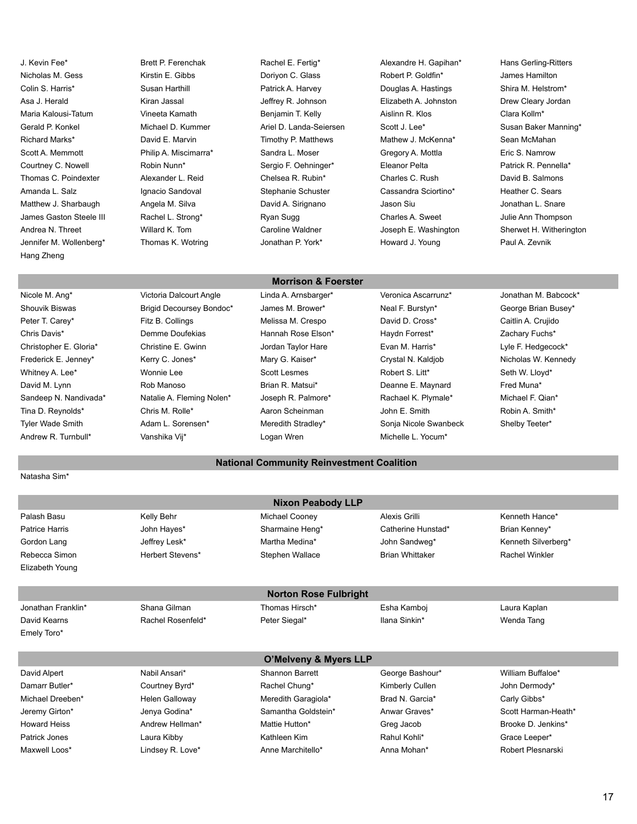Nicholas M. Gess Kirstin E. Gibbs Doriyon C. Glass Robert P. Goldfin\* James Hamilton Colin S. Harris\* Susan Harthill Patrick A. Harvey Douglas A. Hastings Shira M. Helstrom\* Asa J. Herald Kiran Jassal Jeffrey R. Johnson Elizabeth A. Johnston Drew Cleary Jordan Maria Kalousi-Tatum **Maria Clara Kamath Clara Kollm**\* Benjamin T. Kelly Aislinn R. Klos Clara Kollm\* Gerald P. Konkel **Michael D. Kummer** Ariel D. Landa-Seiersen Scott J. Lee\* Susan Baker Manning\* Richard Marks\* **David E. Marvin Timothy P. Matthews** Mathew J. McKenna\* Sean McMahan Scott A. Memmott **Philip A. Miscimarra\*** Sandra L. Moser Gregory A. Mottla Eric S. Namrow Courtney C. Nowell **Sergio F. Oehninger** F. Oehninger\* Eleanor Pelta Patrick R. Pennella\* **Patrick R. Pennella**\* Thomas C. Poindexter **Alexander L. Reid** Chelsea R. Rubin<sup>\*</sup> Charles C. Rush David B. Salmons Amanda L. Salz **Ignacio Sandoval** Stephanie Schuster Cassandra Sciortino\* Heather C. Sears Matthew J. Sharbaugh **Angela M. Silva Changela Angela A. Silva** David A. Sirignano Jason Siu Jonathan L. Snare James Gaston Steele III Rachel L. Strong\* Ryan Sugg Charles A. Sweet Julie Ann Thompson Andrea N. Threet **Willard K. Tom Caroline Waldner** Joseph E. Washington Sherwet H. Witherington Jennifer M. Wollenberg\* Thomas K. Wotring Jonathan P. York\* Howard J. Young Paul A. Zevnik Hang Zheng

J. Kevin Fee\* The Rect P. Ferenchak Rachel E. Fertig\* Alexandre H. Gapihan\* Hans Gerling-Ritters

### **Morrison & Foerster**

Shouvik Biswas **Brigid Decoursey Bondoc\*** James M. Brower\* Neal F. Burstyn\* George Brian Busey\* Peter T. Carey\* **Fitz B. Collings** Melissa M. Crespo David D. Cross\* Caitlin A. Crujido Cruss<sup>\*</sup> Caitlin A. Crujido Chris Davis\* Demme Doufekias Hannah Rose Elson\* Haydn Forrest\* Zachary Fuchs\* Christopher E. Gloria\* Christine E. Gwinn Jordan Taylor Hare Evan M. Harris\* Lyle F. Hedgecock\* Frederick E. Jenney\* Kerry C. Jones\* Mary G. Kaiser\* Crystal N. Kaldjob Nicholas W. Kennedy Whitney A. Lee\* **Wonnie Lee** Scott Lesmes **Robert S. Litt\*** Seth W. Lloyd\* David M. Lynn **Rob Manoso** Brian R. Matsui<sup>\*</sup> Deanne E. Maynard Fred Muna<sup>\*</sup> Sandeep N. Nandivada\* Natalie A. Fleming Nolen\* Joseph R. Palmore\* Rachael K. Plymale\* Michael F. Qian\* Tina D. Reynolds\* Chris M. Rolle\* Aaron Scheinman John E. Smith Robin A. Smith\* Robin A. Smith\* Tyler Wade Smith **Adam L. Sorensen\*** Meredith Stradley\* Sonja Nicole Swanbeck Shelby Teeter\* Andrew R. Turnbull\* Vanshika Vij\* Logan Wren Michelle L. Yocum\*

Nicole M. Ang\* Victoria Dalcourt Angle Linda A. Arnsbarger\* Veronica Ascarrunz\* Jonathan M. Babcock\*

**National Community Reinvestment Coalition** 

Natasha Sim\*

| <b>Nixon Peabody LLP</b> |                       |                              |                        |                       |  |
|--------------------------|-----------------------|------------------------------|------------------------|-----------------------|--|
| Palash Basu              | Kelly Behr            | Michael Cooney               | Alexis Grilli          | Kenneth Hance*        |  |
| <b>Patrice Harris</b>    | John Hayes*           | Sharmaine Heng*              | Catherine Hunstad*     | Brian Kenney*         |  |
| Gordon Lang              | Jeffrey Lesk*         | Martha Medina*               | John Sandweg*          | Kenneth Silverberg*   |  |
| Rebecca Simon            | Herbert Stevens*      | Stephen Wallace              | <b>Brian Whittaker</b> | <b>Rachel Winkler</b> |  |
| Elizabeth Young          |                       |                              |                        |                       |  |
|                          |                       |                              |                        |                       |  |
|                          |                       | <b>Norton Rose Fulbright</b> |                        |                       |  |
| Jonathan Franklin*       | Shana Gilman          | Thomas Hirsch*               | Esha Kamboj            | Laura Kaplan          |  |
| David Kearns             | Rachel Rosenfeld*     | Peter Siegal*                | Ilana Sinkin*          | Wenda Tang            |  |
| Emely Toro*              |                       |                              |                        |                       |  |
|                          |                       |                              |                        |                       |  |
|                          |                       | O'Melveny & Myers LLP        |                        |                       |  |
| David Alpert             | Nabil Ansari*         | <b>Shannon Barrett</b>       | George Bashour*        | William Buffaloe*     |  |
| Damarr Butler*           | Courtney Byrd*        | Rachel Chung*                | Kimberly Cullen        | John Dermody*         |  |
| Michael Dreeben*         | <b>Helen Galloway</b> | Meredith Garagiola*          | Brad N. Garcia*        | Carly Gibbs*          |  |
| Jeremy Girton*           | Jenya Godina*         | Samantha Goldstein*          | Anwar Graves*          | Scott Harman-Heath*   |  |
| <b>Howard Heiss</b>      | Andrew Hellman*       | Mattie Hutton*               | Greg Jacob             | Brooke D. Jenkins*    |  |
| Patrick Jones            | Laura Kibby           | Kathleen Kim                 | Rahul Kohli*           | Grace Leeper*         |  |
| Maxwell Loos*            | Lindsey R. Love*      | Anne Marchitello*            | Anna Mohan*            | Robert Plesnarski     |  |
|                          |                       |                              |                        |                       |  |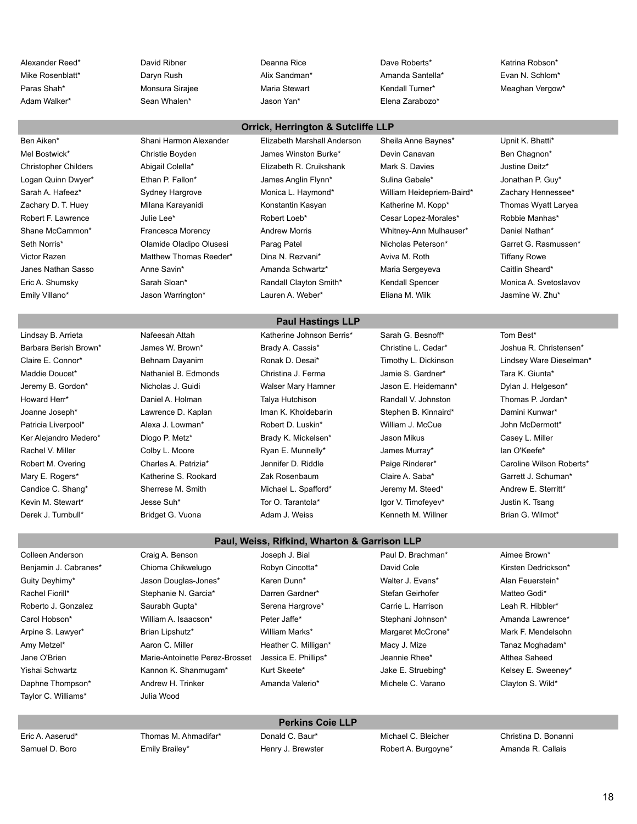Adam Walker\* Sean Whalen\* Jason Yan\* Elena Zarabozo\*

Alexander Reed\* David Ribner Deanna Rice Dave Roberts\* Katrina Robson\*

Mike Rosenblatt\* Daryn Rush Alix Sandman\* Amanda Santella\* Evan N. Schlom\* Paras Shah\* Monsura Sirajee Maria Stewart Kendall Turner\* Meaghan Vergow\*

- 
- Mel Bostwick\* **Mullawire South America Christie Boyden** James Winston Burke\* Devin Canavan **Ben Chagnon\*** Ben Chagnon\* Christopher Childers **Abigail Colella\*** Elizabeth R. Cruikshank Mark S. Davies Justine Deitz\* Logan Quinn Dwyer\* **Ethan P. Fallon\*** James Anglin Flynn\* Sulina Gabale\* Jonathan P. Guy\* Sarah A. Hafeez\* Sydney Hargrove Monica L. Haymond\* William Heidepriem-Baird\* Zachary Hennessee\* Zachary D. T. Huey Milana Karayanidi Konstantin Kasyan Katherine M. Kopp\* Thomas Wyatt Laryea Robert F. Lawrence **Mullie Lee\*** Mullie Lee\* Robert Loeb\* Cesar Lopez-Morales\* Robbie Manhas\* Shane McCammon\* Francesca Morency **Andrew Morris** Whitney-Ann Mulhauser\* Daniel Nathan\* Seth Norris\* Olamide Oladipo Olusesi Parag Patel Nicholas Peterson\* Garret G. Rasmussen\* Victor Razen **Matthew Thomas Reeder\*** Dina N. Rezvani\* Aviva M. Roth Tiffany Rowe Janes Nathan Sasso Anne Savin\* Amanda Schwartz\* Maria Sergeyeva Caitlin Sheard\* Eric A. Shumsky **Sarah Sloan\*** Randall Clayton Smith\* Kendall Spencer Monica A. Svetoslavov Emily Villano\* **Filter A. Webert A. Webert A. Webert A.** Weber<sup>\*</sup> Eliana M. Wilk Jasmine W. Zhu\*

Ben Aiken\* Shani Harmon Alexander Elizabeth Marshall Anderson Sheila Anne Baynes\* Upnit K. Bhatti\*

**Orrick, Herrington & Sutcliffe LLP**

#### **Paul Hastings LLP**

Lindsay B. Arrieta **Nafeesah Attah Katherine Johnson Berris** Sarah G. Besnoff<sup>\*</sup> Tom Best<sup>\*</sup> Maddie Doucet\* **Nathaniel B. Edmonds** Christina J. Ferma Jamie S. Gardner\* Tara K. Giunta\* Jeremy B. Gordon\* Nicholas J. Guidi Walser Mary Hamner Jason E. Heidemann\* Dylan J. Helgeson\* Howard Herr\* Daniel A. Holman Talya Hutchison Randall V. Johnston Thomas P. Jordan\* Joanne Joseph\* **Iman K. Kaplan** Iman K. Kholdebarin Stephen B. Kinnaird\* Damini Kunwar<sup>\*</sup> Patricia Liverpool\* **Alexa J. Lowman\*** Robert D. Luskin\* William J. McCue John McDermott\* Ker Alejandro Medero\* Diogo P. Metz\* Brady K. Mickelsen\* Jason Mikus Casey L. Miller Rachel V. Miller **Colby L. Moore** Ryan E. Munnelly\* James Murray\* Ian O'Keefe\* Mary E. Rogers\* Katherine S. Rookard Zak Rosenbaum Claire A. Saba\* Garrett J. Schuman\* Candice C. Shang\* Sherrese M. Smith Michael L. Spafford\* Jeremy M. Steed\* Andrew E. Sterritt\* Kevin M. Stewart\* The Subse Suh\* Tor O. Tarantola\* Igor V. Timofeyev\* Justin K. Tsang Derek J. Turnbull\* Bridget G. Vuona Adam J. Weiss Kenneth M. Willner Brian G. Wilmot\*

# Barbara Berish Brown\* **Market Brown**\* James W. Brown\* Brady A. Cassis\* **Christine L. Cedar\*** Joshua R. Christensen\* Claire E. Connor\* **Behnam Dayanim** Ronak D. Desai\* Timothy L. Dickinson Lindsey Ware Dieselman\* Robert M. Overing Charles A. Patrizia\* Jennifer D. Riddle Paige Rinderer\* Caroline Wilson Roberts\*

Taylor C. Williams\* Julia Wood

Colleen Anderson Craig A. Benson Joseph J. Bial Paul D. Brachman\* Aimee Brown\* Benjamin J. Cabranes\* Chioma Chikwelugo **Robyn Cincotta\*** David Cole **Kirsten Dedrickson**\* Guity Deyhimy\* **Mathew Mathew Alan Dealth Development Controller** Karen Dunn\* Walter J. Evans\* Alan Feuerstein\* Rachel Fiorill\* Stephanie N. Garcia\* Darren Gardner\* Stefan Geirhofer Matteo Godi\* Roberto J. Gonzalez **Saurabh Gupta\*** Serena Hargrove\* Carrie L. Harrison Leah R. Hibbler\* Carol Hobson\* **Milliam A.** Isaacson\* Peter Jaffe\* Stephani Johnson\* Amanda Lawrence\* Arpine S. Lawyer\* **Brian Lipshutz\*** William Marks\* Margaret McCrone\* Mark F. Mendelsohn Amy Metzel\* **Aaron C. Miller** Heather C. Milligan<sup>\*</sup> Macy J. Mize Tanaz Moghadam\* Tanaz Moghadam\* Jane O'Brien Marie-Antoinette Perez-Brosset Jessica E. Phillips\* Jeannie Rhee\* Althea Saheed Yishai Schwartz **Kannon K. Shanmugam\*** Kurt Skeete\* Jake E. Struebing\* Kelsey E. Sweeney\* Daphne Thompson\* **Andrew H. Trinker** Amanda Valerio\* Michele C. Varano Clayton S. Wild\*

# **Paul, Weiss, Rifkind, Wharton & Garrison LLP**

Eric A. Aaserud\* Thomas M. Ahmadifar\* Donald C. Baur\* Michael C. Bleicher Christina D. Bonanni Samuel D. Boro **Emily Brailey\*** Henry J. Brewster Robert A. Burgoyne\* Amanda R. Callais

#### **Perkins Coie LLP**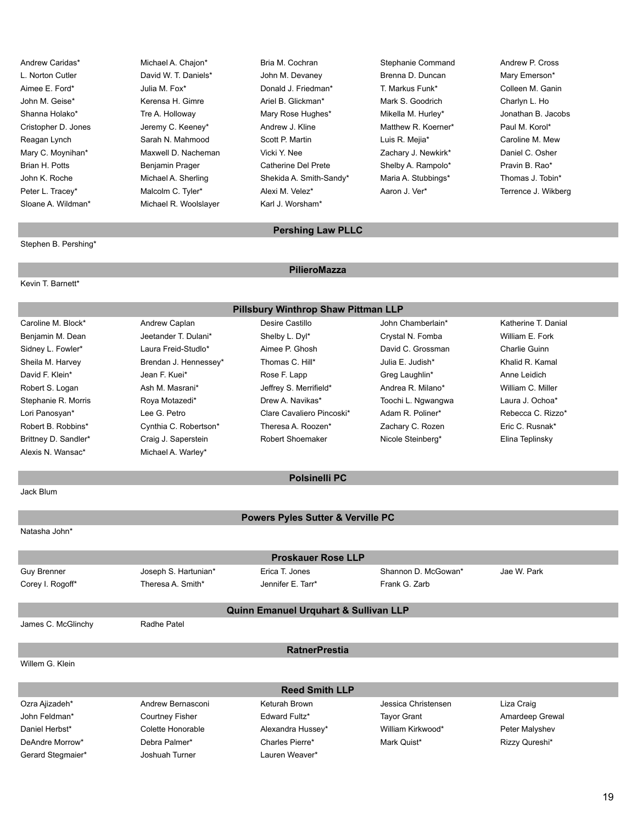Sloane A. Wildman\* Michael R. Woolslayer Karl J. Worsham\*

Andrew Caridas\* **Michael A. Chajon\*** Bria M. Cochran Stephanie Command Andrew P. Cross L. Norton Cutler **David W. T. Daniels\*** John M. Devaney Brenna D. Duncan Mary Emerson\* Aimee E. Ford\* Julia M. Fox\* Donald J. Friedman\* T. Markus Funk\* Colleen M. Ganin John M. Geise\* Kerensa H. Gimre Ariel B. Glickman\* Mark S. Goodrich Charlyn L. Ho Shanna Holako\* Tre A. Holloway Mary Rose Hughes\* Mikella M. Hurley\* Jonathan B. Jacobs Cristopher D. Jones **Jeremy C. Keeney\*** Andrew J. Kline Matthew R. Koerner\* Paul M. Korol\* Reagan Lynch **Sarah N. Mahmood** Scott P. Martin Luis R. Mejia\* Caroline M. Mew Mary C. Moynihan\* Maxwell D. Nacheman Vicki Y. Nee Zachary J. Newkirk\* Daniel C. Osher Brian H. Potts **Benjamin Prager** Catherine Del Prete Shelby A. Rampolo\* Pravin B. Rao\* John K. Roche **Michael A. Sherling** Shekida A. Smith-Sandy\* Maria A. Stubbings\* Thomas J. Tobin\* Peter L. Tracey\* **Malcolm C. Tyler\*** Alexi M. Velez\* Aaron J. Ver\* Terrence J. Wikberg

#### **Pershing Law PLLC**

Stephen B. Pershing\*

Kevin T. Barnett\*

**PilieroMazza**

| Pillsbury Winthrop Shaw Pittman LLP |                       |                           |                    |                     |  |
|-------------------------------------|-----------------------|---------------------------|--------------------|---------------------|--|
| Caroline M. Block*                  | Andrew Caplan         | Desire Castillo           | John Chamberlain*  | Katherine T. Danial |  |
| Benjamin M. Dean                    | Jeetander T. Dulani*  | Shelby L. Dyl*            | Crystal N. Fomba   | William E. Fork     |  |
| Sidney L. Fowler*                   | Laura Freid-Studlo*   | Aimee P. Ghosh            | David C. Grossman  | Charlie Guinn       |  |
| Sheila M. Harvey                    | Brendan J. Hennessey* | Thomas C. Hill*           | Julia E. Judish*   | Khalid R. Kamal     |  |
| David F. Klein*                     | Jean F. Kuei*         | Rose F. Lapp              | Greg Laughlin*     | Anne Leidich        |  |
| Robert S. Logan                     | Ash M. Masrani*       | Jeffrey S. Merrifield*    | Andrea R. Milano*  | William C. Miller   |  |
| Stephanie R. Morris                 | Roya Motazedi*        | Drew A. Navikas*          | Toochi L. Ngwangwa | Laura J. Ochoa*     |  |
| Lori Panosyan*                      | Lee G. Petro          | Clare Cavaliero Pincoski* | Adam R. Poliner*   | Rebecca C. Rizzo*   |  |
| Robert B. Robbins*                  | Cynthia C. Robertson* | Theresa A. Roozen*        | Zachary C. Rozen   | Eric C. Rusnak*     |  |
| Brittney D. Sandler*                | Craig J. Saperstein   | <b>Robert Shoemaker</b>   | Nicole Steinberg*  | Elina Teplinsky     |  |
| Alexis N. Wansac*                   | Michael A. Warley*    |                           |                    |                     |  |

Jack Blum

Natasha John\*

#### **Polsinelli PC**

#### **Powers Pyles Sutter & Verville PC**

**Proskauer Rose LLP**

**Quinn Emanuel Urquhart & Sullivan LLP**

**RatnerPrestia**

Guy Brenner **Shannian** Super Joseph S. Hartunian\* Erica T. Jones Shannon D. McGowan\* Jae W. Park Corey I. Rogoff\* Theresa A. Smith\* Jennifer E. Tarr\* Frank G. Zarb

James C. McGlinchy Radhe Patel

Willem G. Klein

|                        | <b>Reed Smith LLP</b> |                     |                 |
|------------------------|-----------------------|---------------------|-----------------|
| Andrew Bernasconi      | Keturah Brown         | Jessica Christensen | Liza Craig      |
| <b>Courtney Fisher</b> | Edward Fultz*         | <b>Tayor Grant</b>  | Amardeep Grewal |
| Colette Honorable      | Alexandra Hussey*     | William Kirkwood*   | Peter Malyshev  |
| Debra Palmer*          | Charles Pierre*       | Mark Quist*         | Rizzy Qureshi*  |
| Joshuah Turner         | Lauren Weaver*        |                     |                 |
|                        |                       |                     |                 |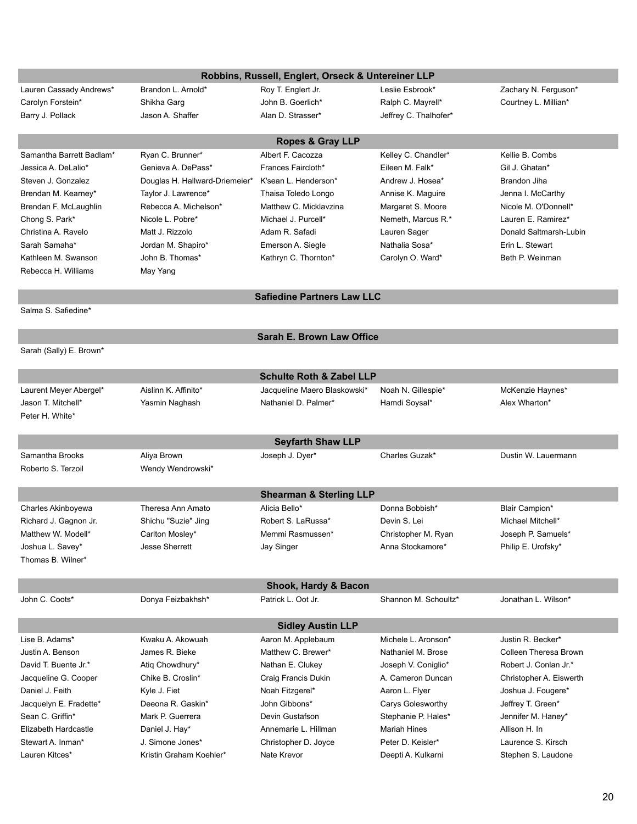| Robbins, Russell, Englert, Orseck & Untereiner LLP |                                |                                     |                       |                         |  |  |
|----------------------------------------------------|--------------------------------|-------------------------------------|-----------------------|-------------------------|--|--|
| Lauren Cassady Andrews*                            | Brandon L. Arnold*             | Roy T. Englert Jr.                  | Leslie Esbrook*       | Zachary N. Ferguson*    |  |  |
| Carolyn Forstein*                                  | Shikha Garg                    | John B. Goerlich*                   | Ralph C. Mayrell*     | Courtney L. Millian*    |  |  |
| Barry J. Pollack                                   | Jason A. Shaffer               | Alan D. Strasser*                   | Jeffrey C. Thalhofer* |                         |  |  |
|                                                    |                                |                                     |                       |                         |  |  |
|                                                    |                                | <b>Ropes &amp; Gray LLP</b>         |                       |                         |  |  |
| Samantha Barrett Badlam*                           | Ryan C. Brunner*               | Albert F. Cacozza                   | Kelley C. Chandler*   | Kellie B. Combs         |  |  |
| Jessica A. DeLalio*                                | Genieva A. DePass*             | Frances Faircloth*                  | Eileen M. Falk*       | Gil J. Ghatan*          |  |  |
| Steven J. Gonzalez                                 | Douglas H. Hallward-Driemeier* | K'sean L. Henderson*                | Andrew J. Hosea*      | Brandon Jiha            |  |  |
| Brendan M. Kearney*                                | Taylor J. Lawrence*            | Thaisa Toledo Longo                 | Annise K. Maguire     | Jenna I. McCarthy       |  |  |
| Brendan F. McLaughlin                              | Rebecca A. Michelson*          | Matthew C. Micklayzina              | Margaret S. Moore     | Nicole M. O'Donnell*    |  |  |
| Chong S. Park*                                     | Nicole L. Pobre*               | Michael J. Purcell*                 | Nemeth, Marcus R.*    | Lauren E. Ramirez*      |  |  |
| Christina A. Ravelo                                | Matt J. Rizzolo                | Adam R. Safadi                      | Lauren Sager          | Donald Saltmarsh-Lubin  |  |  |
| Sarah Samaha*                                      | Jordan M. Shapiro*             | Emerson A. Siegle                   | Nathalia Sosa*        | Erin L. Stewart         |  |  |
| Kathleen M. Swanson                                | John B. Thomas*                | Kathryn C. Thornton*                | Carolyn O. Ward*      | Beth P. Weinman         |  |  |
| Rebecca H. Williams                                | May Yang                       |                                     |                       |                         |  |  |
|                                                    |                                | <b>Safiedine Partners Law LLC</b>   |                       |                         |  |  |
| Salma S. Safiedine*                                |                                |                                     |                       |                         |  |  |
|                                                    |                                |                                     |                       |                         |  |  |
|                                                    |                                | <b>Sarah E. Brown Law Office</b>    |                       |                         |  |  |
| Sarah (Sally) E. Brown*                            |                                |                                     |                       |                         |  |  |
|                                                    |                                |                                     |                       |                         |  |  |
|                                                    |                                | <b>Schulte Roth &amp; Zabel LLP</b> |                       |                         |  |  |
| Laurent Meyer Abergel*                             | Aislinn K. Affinito*           | Jacqueline Maero Blaskowski*        | Noah N. Gillespie*    | McKenzie Haynes*        |  |  |
| Jason T. Mitchell*                                 | Yasmin Naghash                 | Nathaniel D. Palmer*                | Hamdi Soysal*         | Alex Wharton*           |  |  |
| Peter H. White*                                    |                                |                                     |                       |                         |  |  |
|                                                    |                                | <b>Seyfarth Shaw LLP</b>            |                       |                         |  |  |
| Samantha Brooks                                    | Aliya Brown                    | Joseph J. Dyer*                     | Charles Guzak*        | Dustin W. Lauermann     |  |  |
| Roberto S. Terzoil                                 | Wendy Wendrowski*              |                                     |                       |                         |  |  |
|                                                    |                                |                                     |                       |                         |  |  |
|                                                    |                                | <b>Shearman &amp; Sterling LLP</b>  |                       |                         |  |  |
| Charles Akinboyewa                                 | Theresa Ann Amato              | Alicia Bello*                       | Donna Bobbish*        | <b>Blair Campion*</b>   |  |  |
| Richard J. Gagnon Jr.                              | Shichu "Suzie" Jing            | Robert S. LaRussa*                  | Devin S. Lei          | Michael Mitchell*       |  |  |
| Matthew W. Modell*                                 | Carlton Mosley*                | Memmi Rasmussen*                    | Christopher M. Ryan   | Joseph P. Samuels*      |  |  |
| Joshua L. Savey*                                   | <b>Jesse Sherrett</b>          | Jay Singer                          | Anna Stockamore*      | Philip E. Urofsky*      |  |  |
| Thomas B. Wilner*                                  |                                |                                     |                       |                         |  |  |
|                                                    |                                | Shook, Hardy & Bacon                |                       |                         |  |  |
| John C. Coots*                                     | Donya Feizbakhsh*              | Patrick L. Oot Jr.                  | Shannon M. Schoultz*  | Jonathan L. Wilson*     |  |  |
|                                                    |                                |                                     |                       |                         |  |  |
|                                                    |                                | <b>Sidley Austin LLP</b>            |                       |                         |  |  |
| Lise B. Adams*                                     | Kwaku A. Akowuah               | Aaron M. Applebaum                  | Michele L. Aronson*   | Justin R. Becker*       |  |  |
| Justin A. Benson                                   | James R. Bieke                 | Matthew C. Brewer*                  | Nathaniel M. Brose    | Colleen Theresa Brown   |  |  |
| David T. Buente Jr.*                               | Atiq Chowdhury*                | Nathan E. Clukey                    | Joseph V. Coniglio*   | Robert J. Conlan Jr.*   |  |  |
| Jacqueline G. Cooper                               | Chike B. Croslin*              | Craig Francis Dukin                 | A. Cameron Duncan     | Christopher A. Eiswerth |  |  |
| Daniel J. Feith                                    | Kyle J. Fiet                   | Noah Fitzgerel*                     | Aaron L. Flyer        | Joshua J. Fougere*      |  |  |
| Jacquelyn E. Fradette*                             | Deeona R. Gaskin*              | John Gibbons*                       | Carys Golesworthy     | Jeffrey T. Green*       |  |  |
| Sean C. Griffin*                                   | Mark P. Guerrera               | Devin Gustafson                     | Stephanie P. Hales*   | Jennifer M. Haney*      |  |  |
| Elizabeth Hardcastle                               | Daniel J. Hay*                 | Annemarie L. Hillman                | <b>Mariah Hines</b>   | Allison H. In           |  |  |
| Stewart A. Inman*                                  | J. Simone Jones*               | Christopher D. Joyce                | Peter D. Keisler*     | Laurence S. Kirsch      |  |  |
| Lauren Kitces*                                     | Kristin Graham Koehler*        | Nate Krevor                         | Deepti A. Kulkarni    | Stephen S. Laudone      |  |  |
|                                                    |                                |                                     |                       |                         |  |  |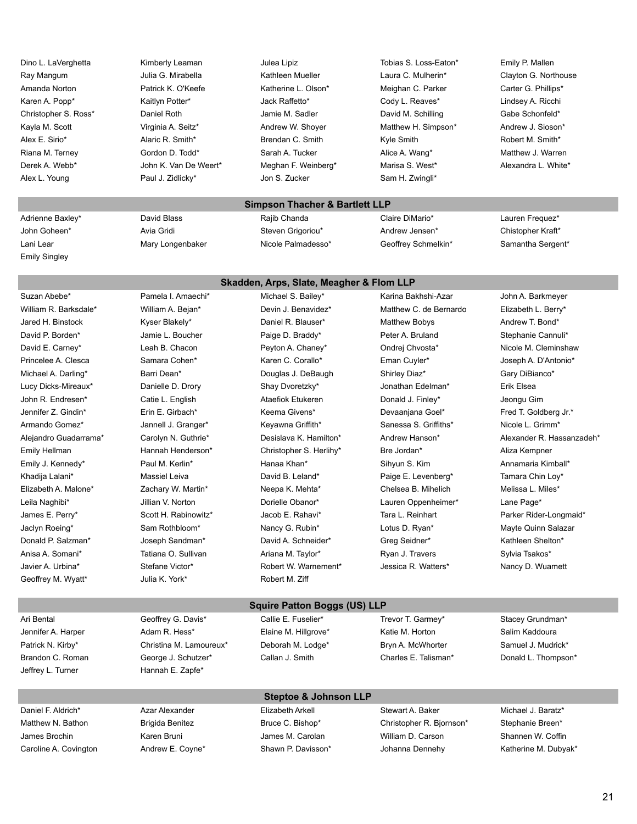Emily Singley

Ray Mangum **Mangum** Julia G. Mirabella Kathleen Mueller Laura C. Mulherin\* Clayton G. Northouse Amanda Norton **Patrick K. O'Keefe Katherine L. Olson**\* Meighan C. Parker Carter G. Phillips\* Karen A. Popp\* The Kaitlyn Potter\* The Mack Raffetto\* Cody L. Reaves\* Lindsey A. Ricchi Christopher S. Ross\* Daniel Roth Jamie M. Sadler David M. Schilling Gabe Schonfeld\* Kayla M. Scott **Virginia A. Seitz\*** Andrew W. Shoyer Matthew H. Simpson\* Andrew J. Sioson\* Alex E. Sirio\* **Alaric R. Smith\*** Brendan C. Smith Kyle Smith Kyle Smith Robert M. Smith\* Riana M. Terney **Sarah A. Tucker A. Tucker Alice A. Wang**\* Matthew J. Warren Alice A. Wang\* Matthew J. Warren Derek A. Webb\* The Mohn K. Van De Weert\* Meghan F. Weinberg\* Marisa S. West\* The Mexandra L. White\* Alex L. Young **Paul J. Zidlicky\*** Jon S. Zucker Sam H. Zwingli\*

Dino L. LaVerghetta **Kimberly Leaman** Julea Lipiz **The Charlen Communist Construent Communist** Construent Mallen

#### **Simpson Thacher & Bartlett LLP**

John Goheen\* Avia Gridi Steven Grigoriou\* Andrew Jensen\* Chistopher Kraft\* Lani Lear **Mary Longenbaker** Nicole Palmadesso<sup>\*</sup> Geoffrey Schmelkin<sup>\*</sup> Samantha Sergent<sup>\*</sup>

Adrienne Baxley\* **David Blass Rajib Chanda** Claire DiMario\* Lauren Frequez\*

#### **Skadden, Arps, Slate, Meagher & Flom LLP**

Suzan Abebe\* Pamela I. Amaechi\* Michael S. Bailey\* Karina Bakhshi-Azar John A. Barkmeyer Geoffrey M. Wyatt\* Julia K. York\* Robert M. Ziff

Jared H. Binstock **Kyser Blakely\*** Daniel R. Blauser\* Matthew Bobys Andrew T. Bond\* David P. Borden\* Jamie L. Boucher Paige D. Braddy\* Peter A. Bruland Stephanie Cannuli\* David E. Carney\* **Leah B. Chacon** Peyton A. Chaney\* Ondrej Chvosta\* Nicole M. Cleminshaw Princelee A. Clesca **Samara Cohen\*** Karen C. Corallo\* Eman Cuyler\* Joseph A. D'Antonio\* Michael A. Darling\* **Barri Dean\*** Douglas J. DeBaugh Shirley Diaz\* Gary DiBianco\* Douglas J. DeBaugh Shirley Diaz\* Gary DiBianco\* Lucy Dicks-Mireaux\* Danielle D. Drory Shay Dvoretzky\* Jonathan Edelman\* Erik Elsea John R. Endresen\* Catie L. English Ataefiok Etukeren Donald J. Finley\* Jeongu Gim Jennifer Z. Gindin\* Erin E. Girbach\* Keema Givens\* Devaanjana Goel\* Fred T. Goldberg Jr.\* Armando Gomez\* **Mannell J. Granger\*** Keyawna Griffith\* Sanessa S. Griffiths\* Nicole L. Grimm\* Emily Hellman **Example 1** Hannah Henderson\* Christopher S. Herlihy\* Bre Jordan\* Philiza Kempner Emily J. Kennedy\* Paul M. Kerlin\* Hanaa Khan\* Sihyun S. Kim Annamaria Kimball\* Khadija Lalani\* Tamara Chin Loy\* David B. Leland\* Paige E. Levenberg\* Tamara Chin Loy\* Elizabeth A. Malone\* **Zachary W. Martin\*** Neepa K. Mehta\* Chelsea B. Mihelich Melissa L. Miles\* Leila Naghibi\* Jillian V. Norton Dorielle Obanor\* Lauren Oppenheimer\* Lane Page\* Jaclyn Roeing\* Sam Rothbloom\* Nancy G. Rubin\* Lotus D. Ryan\* Mayte Quinn Salazar Donald P. Salzman\* Joseph Sandman\* David A. Schneider\* Greg Seidner\* Kathleen Shelton\* Anisa A. Somani\* Tatiana O. Sullivan Ariana M. Taylor\* Ryan J. Travers Sylvia Tsakos\* Javier A. Urbina\* The Stefane Victor\* The Stefane Victor Accord R. Warnement\* Jessica R. Watters\* Nancy D. Wuamett

William R. Barksdale\* William A. Bejan\* Devin J. Benavidez\* Matthew C. de Bernardo Elizabeth L. Berry\*

Alejandro Guadarrama\* Carolyn N. Guthrie\* Desislava K. Hamilton\* Andrew Hanson\* Alexander R. Hassanzadeh\* James E. Perry\* **Scott H. Rabinowitz\*** Jacob E. Rahavi\* Tara L. Reinhart Parker Rider-Longmaid\*

Ari Bental Stacey Grundman\* Callie E. Fuselier\* Trevor T. Garmey\* Stacey Grundman\* Jeffrey L. Turner Hannah E. Zapfe\*

Daniel F. Aldrich\* Azar Alexander Elizabeth Arkell Stewart A. Baker Michael J. Baratz\* Matthew N. Bathon **Brigida Benitez** Bruce C. Bishop\* Christopher R. Biornson\* Stephanie Breen\* James Brochin Karen Bruni James M. Carolan William D. Carson Shannen W. Coffin Caroline A. Covington **Andrew E. Coyne\*** Shawn P. Davisson\* Johanna Dennehy Katherine M. Dubyak\*

Jennifer A. Harper **Adam R. Hess\*** Elaine M. Hillgrove\* Katie M. Horton Salim Kaddoura Patrick N. Kirby\* Christina M. Lamoureux\* Deborah M. Lodge\* Bryn A. McWhorter Samuel J. Mudrick\* Brandon C. Roman George J. Schutzer\* Callan J. Smith Charles E. Talisman\* Donald L. Thompson\*

**Squire Patton Boggs (US) LLP**

**Steptoe & Johnson LLP**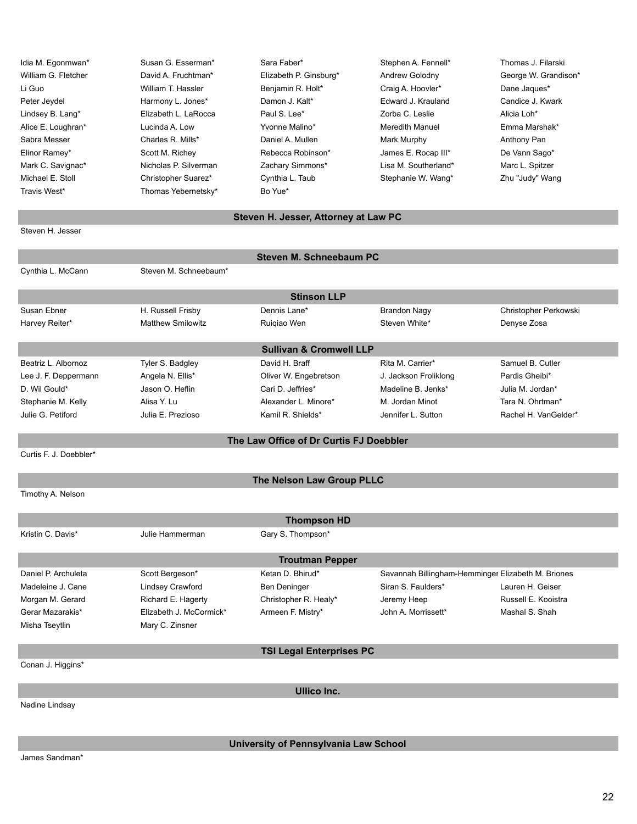| Idia M. Egonmwan*                    | Susan G. Esserman*    | Sara Faber*            | Stephen A. Fennell*  | Thomas J. Filarski   |  |
|--------------------------------------|-----------------------|------------------------|----------------------|----------------------|--|
| William G. Fletcher                  | David A. Fruchtman*   | Elizabeth P. Ginsburg* | Andrew Golodny       | George W. Grandison* |  |
| Li Guo                               | William T. Hassler    | Benjamin R. Holt*      | Craig A. Hoovler*    | Dane Jaques*         |  |
| Peter Jeydel                         | Harmony L. Jones*     | Damon J. Kalt*         | Edward J. Krauland   | Candice J. Kwark     |  |
| Lindsey B. Lang*                     | Elizabeth L. LaRocca  | Paul S. Lee*           | Zorba C. Leslie      | Alicia Loh*          |  |
| Alice E. Loughran*                   | Lucinda A. Low        | Yvonne Malino*         | Meredith Manuel      | Emma Marshak*        |  |
| Sabra Messer                         | Charles R. Mills*     | Daniel A. Mullen       | Mark Murphy          | Anthony Pan          |  |
| Elinor Ramey*                        | Scott M. Richey       | Rebecca Robinson*      | James E. Rocap III*  | De Vann Sago*        |  |
| Mark C. Savignac*                    | Nicholas P. Silverman | Zachary Simmons*       | Lisa M. Southerland* | Marc L. Spitzer      |  |
| Michael E. Stoll                     | Christopher Suarez*   | Cynthia L. Taub        | Stephanie W. Wang*   | Zhu "Judy" Wang      |  |
| Travis West*                         | Thomas Yebernetsky*   | Bo Yue*                |                      |                      |  |
| Steven H. Jesser, Attorney at Law PC |                       |                        |                      |                      |  |
| Steven H. Jesser                     |                       |                        |                      |                      |  |
|                                      |                       |                        |                      |                      |  |

|                      |                          | Steven M. Schneebaum PC            |                       |                       |
|----------------------|--------------------------|------------------------------------|-----------------------|-----------------------|
| Cynthia L. McCann    | Steven M. Schneebaum*    |                                    |                       |                       |
|                      |                          | <b>Stinson LLP</b>                 |                       |                       |
| Susan Ebner          | H. Russell Frisby        | Dennis Lane*                       | <b>Brandon Nagy</b>   | Christopher Perkowski |
| Harvey Reiter*       | <b>Matthew Smilowitz</b> | Ruigiao Wen                        | Steven White*         | Denyse Zosa           |
|                      |                          | <b>Sullivan &amp; Cromwell LLP</b> |                       |                       |
| Beatriz L. Albornoz  | Tyler S. Badgley         | David H. Braff                     | Rita M. Carrier*      | Samuel B. Cutler      |
| Lee J. F. Deppermann | Angela N. Ellis*         | Oliver W. Engebretson              | J. Jackson Froliklong | Pardis Gheibi*        |
| D. Wil Gould*        | Jason O. Heflin          | Cari D. Jeffries*                  | Madeline B. Jenks*    | Julia M. Jordan*      |
| Stephanie M. Kelly   | Alisa Y. Lu              | Alexander L. Minore*               | M. Jordan Minot       | Tara N. Ohrtman*      |
| Julie G. Petiford    | Julia E. Prezioso        | Kamil R. Shields*                  | Jennifer L. Sutton    | Rachel H. VanGelder*  |

**The Law Office of Dr Curtis FJ Doebbler**

Curtis F. J. Doebbler\*

#### **The Nelson Law Group PLLC**

Timothy A. Nelson

| <b>Thompson HD</b>     |                         |                       |                     |                                                    |  |  |
|------------------------|-------------------------|-----------------------|---------------------|----------------------------------------------------|--|--|
| Kristin C. Davis*      | Julie Hammerman         | Gary S. Thompson*     |                     |                                                    |  |  |
| <b>Troutman Pepper</b> |                         |                       |                     |                                                    |  |  |
| Daniel P. Archuleta    | Scott Bergeson*         | Ketan D. Bhirud*      |                     | Savannah Billingham-Hemminger Elizabeth M. Briones |  |  |
| Madeleine J. Cane      | Lindsey Crawford        | Ben Deninger          | Siran S. Faulders*  | Lauren H. Geiser                                   |  |  |
| Morgan M. Gerard       | Richard E. Hagerty      | Christopher R. Healy* | Jeremy Heep         | Russell E. Kooistra                                |  |  |
| Gerar Mazarakis*       | Elizabeth J. McCormick* | Armeen F. Mistry*     | John A. Morrissett* | Mashal S. Shah                                     |  |  |
| Misha Tseytlin         | Mary C. Zinsner         |                       |                     |                                                    |  |  |

# **TSI Legal Enterprises PC**

Conan J. Higgins\*

**Ullico Inc.**

Nadine Lindsay

**University of Pennsylvania Law School**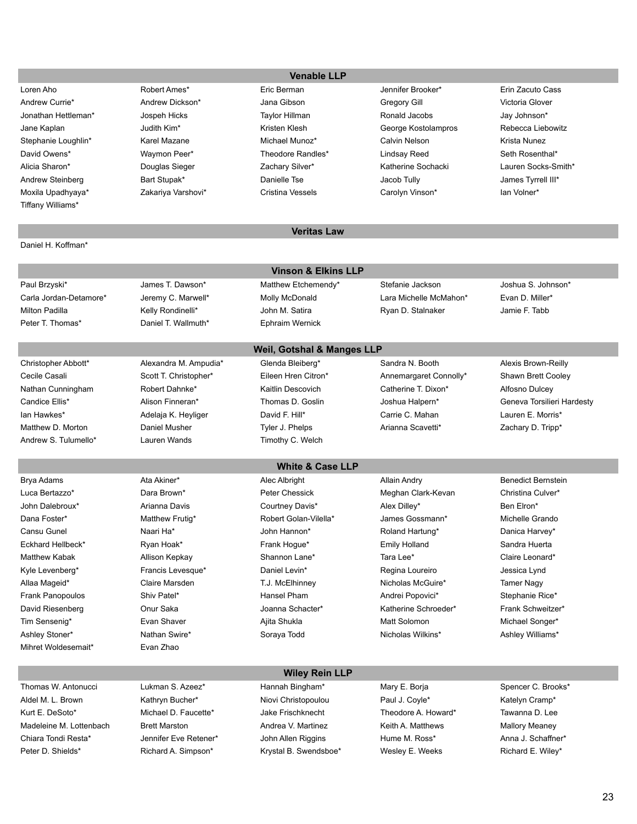|                         |                       | <b>Venable LLP</b>                    |                        |                            |  |  |  |
|-------------------------|-----------------------|---------------------------------------|------------------------|----------------------------|--|--|--|
| Loren Aho               | Robert Ames*          | Eric Berman                           | Jennifer Brooker*      | Erin Zacuto Cass           |  |  |  |
| Andrew Currie*          | Andrew Dickson*       | Jana Gibson                           | <b>Gregory Gill</b>    | Victoria Glover            |  |  |  |
| Jonathan Hettleman*     | Jospeh Hicks          | <b>Taylor Hillman</b>                 | Ronald Jacobs          | Jay Johnson*               |  |  |  |
| Jane Kaplan             | Judith Kim*           | Kristen Klesh                         | George Kostolampros    | Rebecca Liebowitz          |  |  |  |
| Stephanie Loughlin*     | Karel Mazane          | Michael Munoz*                        | Calvin Nelson          | Krista Nunez               |  |  |  |
| David Owens*            | Waymon Peer*          | Theodore Randles*                     | Lindsay Reed           | Seth Rosenthal*            |  |  |  |
| Alicia Sharon*          | Douglas Sieger        | Zachary Silver*                       | Katherine Sochacki     | Lauren Socks-Smith*        |  |  |  |
| Andrew Steinberg        | Bart Stupak*          | Danielle Tse                          | Jacob Tully            | James Tyrrell III*         |  |  |  |
| Moxila Upadhyaya*       | Zakariya Varshovi*    | <b>Cristina Vessels</b>               | Carolyn Vinson*        | lan Volner*                |  |  |  |
| Tiffany Williams*       |                       |                                       |                        |                            |  |  |  |
|                         |                       | <b>Veritas Law</b>                    |                        |                            |  |  |  |
| Daniel H. Koffman*      |                       |                                       |                        |                            |  |  |  |
|                         |                       |                                       |                        |                            |  |  |  |
|                         |                       | <b>Vinson &amp; Elkins LLP</b>        |                        |                            |  |  |  |
| Paul Brzyski*           | James T. Dawson*      | Matthew Etchemendy*                   | Stefanie Jackson       | Joshua S. Johnson*         |  |  |  |
| Carla Jordan-Detamore*  | Jeremy C. Marwell*    | Molly McDonald                        | Lara Michelle McMahon* | Evan D. Miller*            |  |  |  |
| <b>Milton Padilla</b>   | Kelly Rondinelli*     | John M. Satira                        | Ryan D. Stalnaker      | Jamie F. Tabb              |  |  |  |
| Peter T. Thomas*        | Daniel T. Wallmuth*   | <b>Ephraim Wernick</b>                |                        |                            |  |  |  |
|                         |                       | <b>Weil, Gotshal &amp; Manges LLP</b> |                        |                            |  |  |  |
| Christopher Abbott*     | Alexandra M. Ampudia* | Glenda Bleiberg*                      | Sandra N. Booth        | Alexis Brown-Reilly        |  |  |  |
| Cecile Casali           | Scott T. Christopher* | Eileen Hren Citron*                   | Annemargaret Connolly* | Shawn Brett Cooley         |  |  |  |
| Nathan Cunningham       | Robert Dahnke*        | Kaitlin Descovich                     | Catherine T. Dixon*    | Alfosno Dulcey             |  |  |  |
| Candice Ellis*          | Alison Finneran*      | Thomas D. Goslin                      | Joshua Halpern*        | Geneva Torsilieri Hardesty |  |  |  |
| lan Hawkes*             | Adelaja K. Heyliger   | David F. Hill*                        | Carrie C. Mahan        | Lauren E. Morris*          |  |  |  |
| Matthew D. Morton       | Daniel Musher         | Tyler J. Phelps                       | Arianna Scavetti*      | Zachary D. Tripp*          |  |  |  |
| Andrew S. Tulumello*    | Lauren Wands          | Timothy C. Welch                      |                        |                            |  |  |  |
|                         |                       | <b>White &amp; Case LLP</b>           |                        |                            |  |  |  |
| Brya Adams              | Ata Akiner*           | Alec Albright                         | <b>Allain Andry</b>    | <b>Benedict Bernstein</b>  |  |  |  |
| Luca Bertazzo*          | Dara Brown*           | <b>Peter Chessick</b>                 | Meghan Clark-Kevan     | Christina Culver*          |  |  |  |
| John Dalebroux*         | Arianna Davis         | Courtney Davis*                       | Alex Dilley*           | Ben Elron*                 |  |  |  |
| Dana Foster*            | Matthew Frutig*       | Robert Golan-Vilella*                 | James Gossmann*        | Michelle Grando            |  |  |  |
| Cansu Gunel             | Naari Ha*             | John Hannon*                          | Roland Hartung*        | Danica Harvey*             |  |  |  |
| Eckhard Hellbeck*       | Ryan Hoak*            | Frank Hogue*                          | <b>Emily Holland</b>   | Sandra Huerta              |  |  |  |
| <b>Matthew Kabak</b>    | Allison Kepkay        | Shannon Lane*                         | Tara Lee*              | Claire Leonard*            |  |  |  |
| Kyle Levenberg*         | Francis Levesque*     | Daniel Levin*                         | Regina Loureiro        | Jessica Lynd               |  |  |  |
| Allaa Mageid*           | Claire Marsden        | T.J. McElhinney                       | Nicholas McGuire*      | <b>Tamer Nagy</b>          |  |  |  |
| Frank Panopoulos        | Shiv Patel*           | Hansel Pham                           | Andrei Popovici*       | Stephanie Rice*            |  |  |  |
| David Riesenberg        | Onur Saka             | Joanna Schacter*                      | Katherine Schroeder*   | Frank Schweitzer*          |  |  |  |
| Tim Sensenig*           | Evan Shaver           | Ajita Shukla                          | Matt Solomon           | Michael Songer*            |  |  |  |
| Ashley Stoner*          | Nathan Swire*         | Soraya Todd                           | Nicholas Wilkins*      | Ashley Williams*           |  |  |  |
| Mihret Woldesemait*     | Evan Zhao             |                                       |                        |                            |  |  |  |
|                         | <b>Wiley Rein LLP</b> |                                       |                        |                            |  |  |  |
| Thomas W. Antonucci     | Lukman S. Azeez*      | Hannah Bingham*                       | Mary E. Borja          | Spencer C. Brooks*         |  |  |  |
| Aldel M. L. Brown       | Kathryn Bucher*       | Niovi Christopoulou                   | Paul J. Coyle*         | Katelyn Cramp*             |  |  |  |
| Kurt E. DeSoto*         | Michael D. Faucette*  | Jake Frischknecht                     | Theodore A. Howard*    | Tawanna D. Lee             |  |  |  |
| Madeleine M. Lottenbach | <b>Brett Marston</b>  | Andrea V. Martinez                    | Keith A. Matthews      | <b>Mallory Meaney</b>      |  |  |  |
| Chiara Tondi Resta*     | Jennifer Eve Retener* | John Allen Riggins                    | Hume M. Ross*          | Anna J. Schaffner*         |  |  |  |
| Peter D. Shields*       | Richard A. Simpson*   | Krystal B. Swendsboe*                 | Wesley E. Weeks        | Richard E. Wiley*          |  |  |  |
|                         |                       |                                       |                        |                            |  |  |  |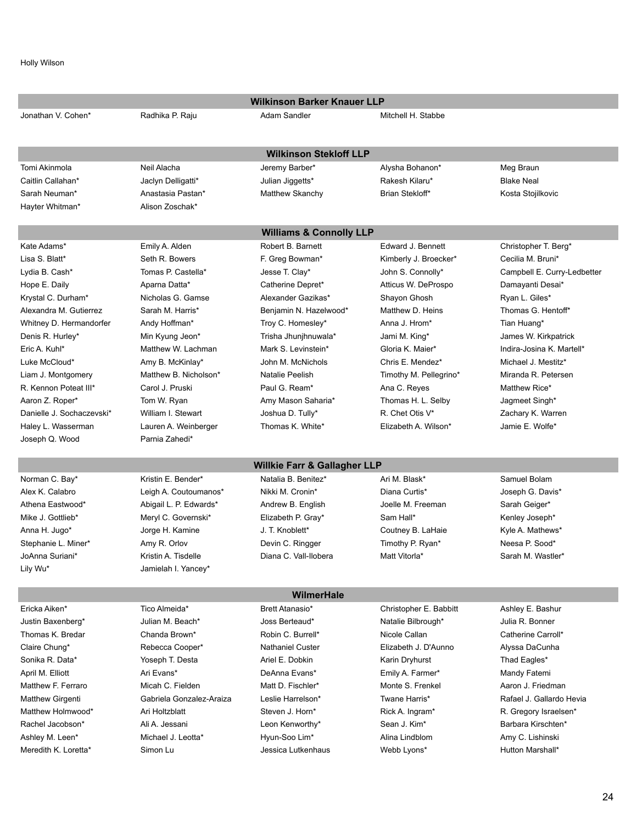|                                | <b>Wilkinson Barker Knauer LLP</b>                                                                                                                                                                                                                                                                                                                                                                                                                                                  |                                                                                                                                                                                                                                                                                                                                                                                                                                                                                                                                               |                                                                                                                                                                                                                                                                                                                                                                                                                                                                                                                                                                                                       |
|--------------------------------|-------------------------------------------------------------------------------------------------------------------------------------------------------------------------------------------------------------------------------------------------------------------------------------------------------------------------------------------------------------------------------------------------------------------------------------------------------------------------------------|-----------------------------------------------------------------------------------------------------------------------------------------------------------------------------------------------------------------------------------------------------------------------------------------------------------------------------------------------------------------------------------------------------------------------------------------------------------------------------------------------------------------------------------------------|-------------------------------------------------------------------------------------------------------------------------------------------------------------------------------------------------------------------------------------------------------------------------------------------------------------------------------------------------------------------------------------------------------------------------------------------------------------------------------------------------------------------------------------------------------------------------------------------------------|
| Radhika P. Raju                | <b>Adam Sandler</b>                                                                                                                                                                                                                                                                                                                                                                                                                                                                 | Mitchell H. Stabbe                                                                                                                                                                                                                                                                                                                                                                                                                                                                                                                            |                                                                                                                                                                                                                                                                                                                                                                                                                                                                                                                                                                                                       |
|                                |                                                                                                                                                                                                                                                                                                                                                                                                                                                                                     |                                                                                                                                                                                                                                                                                                                                                                                                                                                                                                                                               |                                                                                                                                                                                                                                                                                                                                                                                                                                                                                                                                                                                                       |
|                                |                                                                                                                                                                                                                                                                                                                                                                                                                                                                                     |                                                                                                                                                                                                                                                                                                                                                                                                                                                                                                                                               |                                                                                                                                                                                                                                                                                                                                                                                                                                                                                                                                                                                                       |
|                                |                                                                                                                                                                                                                                                                                                                                                                                                                                                                                     |                                                                                                                                                                                                                                                                                                                                                                                                                                                                                                                                               |                                                                                                                                                                                                                                                                                                                                                                                                                                                                                                                                                                                                       |
| Neil Alacha                    | Jeremy Barber*                                                                                                                                                                                                                                                                                                                                                                                                                                                                      | Alysha Bohanon*                                                                                                                                                                                                                                                                                                                                                                                                                                                                                                                               | Meg Braun                                                                                                                                                                                                                                                                                                                                                                                                                                                                                                                                                                                             |
| Jaclyn Delligatti*             | Julian Jiggetts*                                                                                                                                                                                                                                                                                                                                                                                                                                                                    | Rakesh Kilaru*                                                                                                                                                                                                                                                                                                                                                                                                                                                                                                                                | <b>Blake Neal</b>                                                                                                                                                                                                                                                                                                                                                                                                                                                                                                                                                                                     |
| Anastasia Pastan*              |                                                                                                                                                                                                                                                                                                                                                                                                                                                                                     | Brian Stekloff*                                                                                                                                                                                                                                                                                                                                                                                                                                                                                                                               | Kosta Stojilkovic                                                                                                                                                                                                                                                                                                                                                                                                                                                                                                                                                                                     |
| Alison Zoschak*                |                                                                                                                                                                                                                                                                                                                                                                                                                                                                                     |                                                                                                                                                                                                                                                                                                                                                                                                                                                                                                                                               |                                                                                                                                                                                                                                                                                                                                                                                                                                                                                                                                                                                                       |
|                                |                                                                                                                                                                                                                                                                                                                                                                                                                                                                                     |                                                                                                                                                                                                                                                                                                                                                                                                                                                                                                                                               |                                                                                                                                                                                                                                                                                                                                                                                                                                                                                                                                                                                                       |
|                                |                                                                                                                                                                                                                                                                                                                                                                                                                                                                                     |                                                                                                                                                                                                                                                                                                                                                                                                                                                                                                                                               | Christopher T. Berg*                                                                                                                                                                                                                                                                                                                                                                                                                                                                                                                                                                                  |
|                                |                                                                                                                                                                                                                                                                                                                                                                                                                                                                                     |                                                                                                                                                                                                                                                                                                                                                                                                                                                                                                                                               | Cecilia M. Bruni*                                                                                                                                                                                                                                                                                                                                                                                                                                                                                                                                                                                     |
|                                |                                                                                                                                                                                                                                                                                                                                                                                                                                                                                     |                                                                                                                                                                                                                                                                                                                                                                                                                                                                                                                                               | Campbell E. Curry-Ledbetter                                                                                                                                                                                                                                                                                                                                                                                                                                                                                                                                                                           |
|                                |                                                                                                                                                                                                                                                                                                                                                                                                                                                                                     |                                                                                                                                                                                                                                                                                                                                                                                                                                                                                                                                               | Damayanti Desai*                                                                                                                                                                                                                                                                                                                                                                                                                                                                                                                                                                                      |
|                                |                                                                                                                                                                                                                                                                                                                                                                                                                                                                                     |                                                                                                                                                                                                                                                                                                                                                                                                                                                                                                                                               | Ryan L. Giles*                                                                                                                                                                                                                                                                                                                                                                                                                                                                                                                                                                                        |
|                                |                                                                                                                                                                                                                                                                                                                                                                                                                                                                                     |                                                                                                                                                                                                                                                                                                                                                                                                                                                                                                                                               | Thomas G. Hentoff*                                                                                                                                                                                                                                                                                                                                                                                                                                                                                                                                                                                    |
|                                |                                                                                                                                                                                                                                                                                                                                                                                                                                                                                     |                                                                                                                                                                                                                                                                                                                                                                                                                                                                                                                                               | Tian Huang*                                                                                                                                                                                                                                                                                                                                                                                                                                                                                                                                                                                           |
|                                |                                                                                                                                                                                                                                                                                                                                                                                                                                                                                     |                                                                                                                                                                                                                                                                                                                                                                                                                                                                                                                                               | James W. Kirkpatrick                                                                                                                                                                                                                                                                                                                                                                                                                                                                                                                                                                                  |
|                                |                                                                                                                                                                                                                                                                                                                                                                                                                                                                                     |                                                                                                                                                                                                                                                                                                                                                                                                                                                                                                                                               | Indira-Josina K. Martell*                                                                                                                                                                                                                                                                                                                                                                                                                                                                                                                                                                             |
|                                |                                                                                                                                                                                                                                                                                                                                                                                                                                                                                     |                                                                                                                                                                                                                                                                                                                                                                                                                                                                                                                                               | Michael J. Mestitz*                                                                                                                                                                                                                                                                                                                                                                                                                                                                                                                                                                                   |
|                                |                                                                                                                                                                                                                                                                                                                                                                                                                                                                                     |                                                                                                                                                                                                                                                                                                                                                                                                                                                                                                                                               | Miranda R. Petersen                                                                                                                                                                                                                                                                                                                                                                                                                                                                                                                                                                                   |
|                                |                                                                                                                                                                                                                                                                                                                                                                                                                                                                                     |                                                                                                                                                                                                                                                                                                                                                                                                                                                                                                                                               | Matthew Rice*                                                                                                                                                                                                                                                                                                                                                                                                                                                                                                                                                                                         |
|                                |                                                                                                                                                                                                                                                                                                                                                                                                                                                                                     |                                                                                                                                                                                                                                                                                                                                                                                                                                                                                                                                               | Jagmeet Singh*                                                                                                                                                                                                                                                                                                                                                                                                                                                                                                                                                                                        |
|                                |                                                                                                                                                                                                                                                                                                                                                                                                                                                                                     |                                                                                                                                                                                                                                                                                                                                                                                                                                                                                                                                               | Zachary K. Warren                                                                                                                                                                                                                                                                                                                                                                                                                                                                                                                                                                                     |
|                                |                                                                                                                                                                                                                                                                                                                                                                                                                                                                                     |                                                                                                                                                                                                                                                                                                                                                                                                                                                                                                                                               | Jamie E. Wolfe*                                                                                                                                                                                                                                                                                                                                                                                                                                                                                                                                                                                       |
|                                |                                                                                                                                                                                                                                                                                                                                                                                                                                                                                     |                                                                                                                                                                                                                                                                                                                                                                                                                                                                                                                                               |                                                                                                                                                                                                                                                                                                                                                                                                                                                                                                                                                                                                       |
|                                |                                                                                                                                                                                                                                                                                                                                                                                                                                                                                     |                                                                                                                                                                                                                                                                                                                                                                                                                                                                                                                                               |                                                                                                                                                                                                                                                                                                                                                                                                                                                                                                                                                                                                       |
|                                |                                                                                                                                                                                                                                                                                                                                                                                                                                                                                     |                                                                                                                                                                                                                                                                                                                                                                                                                                                                                                                                               |                                                                                                                                                                                                                                                                                                                                                                                                                                                                                                                                                                                                       |
| Kristin E. Bender*             | Natalia B. Benitez*                                                                                                                                                                                                                                                                                                                                                                                                                                                                 | Ari M. Blask*                                                                                                                                                                                                                                                                                                                                                                                                                                                                                                                                 | Samuel Bolam                                                                                                                                                                                                                                                                                                                                                                                                                                                                                                                                                                                          |
| Leigh A. Coutoumanos*          | Nikki M. Cronin*                                                                                                                                                                                                                                                                                                                                                                                                                                                                    | Diana Curtis*                                                                                                                                                                                                                                                                                                                                                                                                                                                                                                                                 | Joseph G. Davis*                                                                                                                                                                                                                                                                                                                                                                                                                                                                                                                                                                                      |
| Abigail L. P. Edwards*         | Andrew B. English                                                                                                                                                                                                                                                                                                                                                                                                                                                                   | Joelle M. Freeman                                                                                                                                                                                                                                                                                                                                                                                                                                                                                                                             | Sarah Geiger*                                                                                                                                                                                                                                                                                                                                                                                                                                                                                                                                                                                         |
| Meryl C. Governski*            | Elizabeth P. Gray*                                                                                                                                                                                                                                                                                                                                                                                                                                                                  | Sam Hall*                                                                                                                                                                                                                                                                                                                                                                                                                                                                                                                                     | Kenley Joseph*                                                                                                                                                                                                                                                                                                                                                                                                                                                                                                                                                                                        |
| Jorge H. Kamine                | J. T. Knoblett*                                                                                                                                                                                                                                                                                                                                                                                                                                                                     | Coutney B. LaHaie                                                                                                                                                                                                                                                                                                                                                                                                                                                                                                                             | Kyle A. Mathews*                                                                                                                                                                                                                                                                                                                                                                                                                                                                                                                                                                                      |
| Amy R. Orlov                   | Devin C. Ringger                                                                                                                                                                                                                                                                                                                                                                                                                                                                    | Timothy P. Ryan*                                                                                                                                                                                                                                                                                                                                                                                                                                                                                                                              | Neesa P. Sood*                                                                                                                                                                                                                                                                                                                                                                                                                                                                                                                                                                                        |
| Kristin A. Tisdelle            | Diana C. Vall-Ilobera                                                                                                                                                                                                                                                                                                                                                                                                                                                               | Matt Vitorla*                                                                                                                                                                                                                                                                                                                                                                                                                                                                                                                                 | Sarah M. Wastler*                                                                                                                                                                                                                                                                                                                                                                                                                                                                                                                                                                                     |
| Jamielah I. Yancey*            |                                                                                                                                                                                                                                                                                                                                                                                                                                                                                     |                                                                                                                                                                                                                                                                                                                                                                                                                                                                                                                                               |                                                                                                                                                                                                                                                                                                                                                                                                                                                                                                                                                                                                       |
|                                |                                                                                                                                                                                                                                                                                                                                                                                                                                                                                     |                                                                                                                                                                                                                                                                                                                                                                                                                                                                                                                                               |                                                                                                                                                                                                                                                                                                                                                                                                                                                                                                                                                                                                       |
|                                |                                                                                                                                                                                                                                                                                                                                                                                                                                                                                     |                                                                                                                                                                                                                                                                                                                                                                                                                                                                                                                                               | Ashley E. Bashur                                                                                                                                                                                                                                                                                                                                                                                                                                                                                                                                                                                      |
|                                |                                                                                                                                                                                                                                                                                                                                                                                                                                                                                     |                                                                                                                                                                                                                                                                                                                                                                                                                                                                                                                                               | Julia R. Bonner                                                                                                                                                                                                                                                                                                                                                                                                                                                                                                                                                                                       |
|                                |                                                                                                                                                                                                                                                                                                                                                                                                                                                                                     |                                                                                                                                                                                                                                                                                                                                                                                                                                                                                                                                               | Catherine Carroll*                                                                                                                                                                                                                                                                                                                                                                                                                                                                                                                                                                                    |
|                                |                                                                                                                                                                                                                                                                                                                                                                                                                                                                                     |                                                                                                                                                                                                                                                                                                                                                                                                                                                                                                                                               | Alyssa DaCunha                                                                                                                                                                                                                                                                                                                                                                                                                                                                                                                                                                                        |
|                                |                                                                                                                                                                                                                                                                                                                                                                                                                                                                                     |                                                                                                                                                                                                                                                                                                                                                                                                                                                                                                                                               | Thad Eagles*                                                                                                                                                                                                                                                                                                                                                                                                                                                                                                                                                                                          |
|                                |                                                                                                                                                                                                                                                                                                                                                                                                                                                                                     |                                                                                                                                                                                                                                                                                                                                                                                                                                                                                                                                               |                                                                                                                                                                                                                                                                                                                                                                                                                                                                                                                                                                                                       |
|                                |                                                                                                                                                                                                                                                                                                                                                                                                                                                                                     |                                                                                                                                                                                                                                                                                                                                                                                                                                                                                                                                               | Mandy Fatemi                                                                                                                                                                                                                                                                                                                                                                                                                                                                                                                                                                                          |
|                                |                                                                                                                                                                                                                                                                                                                                                                                                                                                                                     |                                                                                                                                                                                                                                                                                                                                                                                                                                                                                                                                               | Aaron J. Friedman                                                                                                                                                                                                                                                                                                                                                                                                                                                                                                                                                                                     |
|                                |                                                                                                                                                                                                                                                                                                                                                                                                                                                                                     |                                                                                                                                                                                                                                                                                                                                                                                                                                                                                                                                               | Rafael J. Gallardo Hevia                                                                                                                                                                                                                                                                                                                                                                                                                                                                                                                                                                              |
| Ari Holtzblatt                 |                                                                                                                                                                                                                                                                                                                                                                                                                                                                                     | Rick A. Ingram*                                                                                                                                                                                                                                                                                                                                                                                                                                                                                                                               | R. Gregory Israelsen*                                                                                                                                                                                                                                                                                                                                                                                                                                                                                                                                                                                 |
| Ali A. Jessani                 | Leon Kenworthy*                                                                                                                                                                                                                                                                                                                                                                                                                                                                     | Sean J. Kim*                                                                                                                                                                                                                                                                                                                                                                                                                                                                                                                                  | Barbara Kirschten*                                                                                                                                                                                                                                                                                                                                                                                                                                                                                                                                                                                    |
|                                |                                                                                                                                                                                                                                                                                                                                                                                                                                                                                     |                                                                                                                                                                                                                                                                                                                                                                                                                                                                                                                                               |                                                                                                                                                                                                                                                                                                                                                                                                                                                                                                                                                                                                       |
| Michael J. Leotta*<br>Simon Lu | Hyun-Soo Lim*<br>Jessica Lutkenhaus                                                                                                                                                                                                                                                                                                                                                                                                                                                 | Alina Lindblom<br>Webb Lyons*                                                                                                                                                                                                                                                                                                                                                                                                                                                                                                                 | Amy C. Lishinski<br>Hutton Marshall*                                                                                                                                                                                                                                                                                                                                                                                                                                                                                                                                                                  |
|                                | Emily A. Alden<br>Seth R. Bowers<br>Tomas P. Castella*<br>Aparna Datta*<br>Nicholas G. Gamse<br>Sarah M. Harris*<br>Andy Hoffman*<br>Min Kyung Jeon*<br>Matthew W. Lachman<br>Amy B. McKinlay*<br>Matthew B. Nicholson*<br>Carol J. Pruski<br>Tom W. Ryan<br>William I. Stewart<br>Lauren A. Weinberger<br>Parnia Zahedi*<br>Tico Almeida*<br>Julian M. Beach*<br>Chanda Brown*<br>Rebecca Cooper*<br>Yoseph T. Desta<br>Ari Evans*<br>Micah C. Fielden<br>Gabriela Gonzalez-Araiza | Matthew Skanchy<br>Robert B. Barnett<br>F. Greg Bowman*<br>Jesse T. Clay*<br>Catherine Depret*<br>Alexander Gazikas*<br>Benjamin N. Hazelwood*<br>Troy C. Homesley*<br>Trisha Jhunjhnuwala*<br>Mark S. Levinstein*<br>John M. McNichols<br>Natalie Peelish<br>Paul G. Ream*<br>Amy Mason Saharia*<br>Joshua D. Tully*<br>Thomas K. White*<br>WilmerHale<br>Brett Atanasio*<br>Joss Berteaud*<br>Robin C. Burrell*<br><b>Nathaniel Custer</b><br>Ariel E. Dobkin<br>DeAnna Evans*<br>Matt D. Fischler*<br>Leslie Harrelson*<br>Steven J. Horn* | <b>Wilkinson Stekloff LLP</b><br><b>Williams &amp; Connolly LLP</b><br>Edward J. Bennett<br>Kimberly J. Broecker*<br>John S. Connolly*<br>Atticus W. DeProspo<br>Shayon Ghosh<br>Matthew D. Heins<br>Anna J. Hrom*<br>Jami M. King*<br>Gloria K. Maier*<br>Chris E. Mendez*<br>Timothy M. Pellegrino*<br>Ana C. Reyes<br>Thomas H. L. Selby<br>R. Chet Otis V*<br>Elizabeth A. Wilson*<br><b>Willkie Farr &amp; Gallagher LLP</b><br>Christopher E. Babbitt<br>Natalie Bilbrough*<br>Nicole Callan<br>Elizabeth J. D'Aunno<br>Karin Dryhurst<br>Emily A. Farmer*<br>Monte S. Frenkel<br>Twane Harris* |